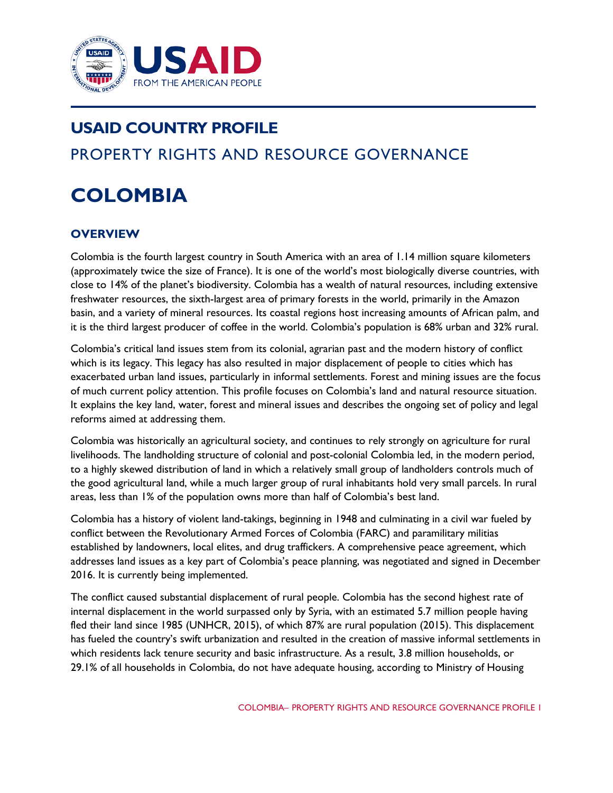

# **USAID COUNTRY PROFILE** PROPERTY RIGHTS AND RESOURCE GOVERNANCE

# **COLOMBIA**

# **OVERVIEW**

Colombia is the fourth largest country in South America with an area of 1.14 million square kilometers (approximately twice the size of France). It is one of the world's most biologically diverse countries, with close to 14% of the planet's biodiversity. Colombia has a wealth of natural resources, including extensive freshwater resources, the sixth-largest area of primary forests in the world, primarily in the Amazon basin, and a variety of mineral resources. Its coastal regions host increasing amounts of African palm, and it is the third largest producer of coffee in the world. Colombia's population is 68% urban and 32% rural.

Colombia's critical land issues stem from its colonial, agrarian past and the modern history of conflict which is its legacy. This legacy has also resulted in major displacement of people to cities which has exacerbated urban land issues, particularly in informal settlements. Forest and mining issues are the focus of much current policy attention. This profile focuses on Colombia's land and natural resource situation. It explains the key land, water, forest and mineral issues and describes the ongoing set of policy and legal reforms aimed at addressing them.

Colombia was historically an agricultural society, and continues to rely strongly on agriculture for rural livelihoods. The landholding structure of colonial and post-colonial Colombia led, in the modern period, to a highly skewed distribution of land in which a relatively small group of landholders controls much of the good agricultural land, while a much larger group of rural inhabitants hold very small parcels. In rural areas, less than 1% of the population owns more than half of Colombia's best land.

Colombia has a history of violent land-takings, beginning in 1948 and culminating in a civil war fueled by conflict between the Revolutionary Armed Forces of Colombia (FARC) and paramilitary militias established by landowners, local elites, and drug traffickers. A comprehensive peace agreement, which addresses land issues as a key part of Colombia's peace planning, was negotiated and signed in December 2016. It is currently being implemented.

The conflict caused substantial displacement of rural people. Colombia has the second highest rate of internal displacement in the world surpassed only by Syria, with an estimated 5.7 million people having fled their land since 1985 (UNHCR, 2015), of which 87% are rural population (2015). This displacement has fueled the country's swift urbanization and resulted in the creation of massive informal settlements in which residents lack tenure security and basic infrastructure. As a result, 3.8 million households, or 29.1% of all households in Colombia, do not have adequate housing, according to Ministry of Housing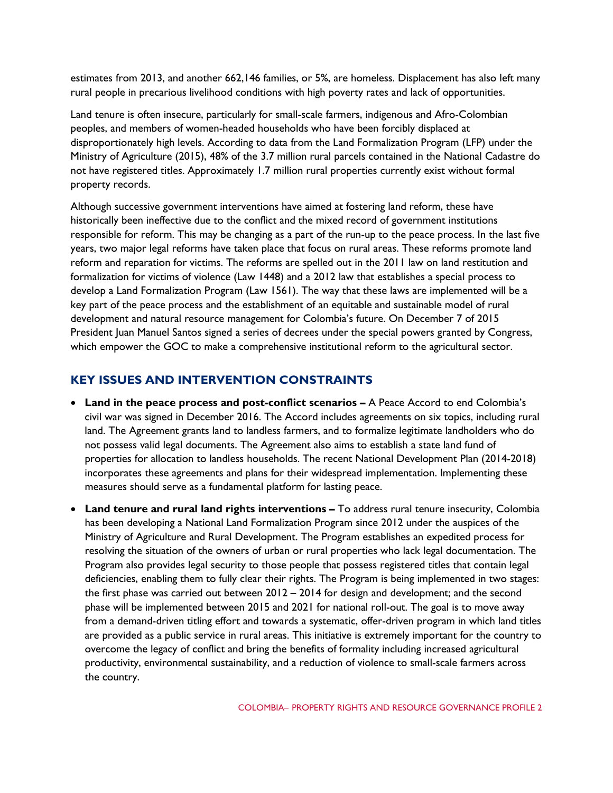estimates from 2013, and another 662,146 families, or 5%, are homeless. Displacement has also left many rural people in precarious livelihood conditions with high poverty rates and lack of opportunities.

Land tenure is often insecure, particularly for small-scale farmers, indigenous and Afro-Colombian peoples, and members of women-headed households who have been forcibly displaced at disproportionately high levels. According to data from the Land Formalization Program (LFP) under the Ministry of Agriculture (2015), 48% of the 3.7 million rural parcels contained in the National Cadastre do not have registered titles. Approximately 1.7 million rural properties currently exist without formal property records.

Although successive government interventions have aimed at fostering land reform, these have historically been ineffective due to the conflict and the mixed record of government institutions responsible for reform. This may be changing as a part of the run-up to the peace process. In the last five years, two major legal reforms have taken place that focus on rural areas. These reforms promote land reform and reparation for victims. The reforms are spelled out in the 2011 law on land restitution and formalization for victims of violence (Law 1448) and a 2012 law that establishes a special process to develop a Land Formalization Program (Law 1561). The way that these laws are implemented will be a key part of the peace process and the establishment of an equitable and sustainable model of rural development and natural resource management for Colombia's future. On December 7 of 2015 President Juan Manuel Santos signed a series of decrees under the special powers granted by Congress, which empower the GOC to make a comprehensive institutional reform to the agricultural sector.

# **KEY ISSUES AND INTERVENTION CONSTRAINTS**

- **Land in the peace process and post-conflict scenarios –** A Peace Accord to end Colombia's civil war was signed in December 2016. The Accord includes agreements on six topics, including rural land. The Agreement grants land to landless farmers, and to formalize legitimate landholders who do not possess valid legal documents. The Agreement also aims to establish a state land fund of properties for allocation to landless households. The recent National Development Plan (2014-2018) incorporates these agreements and plans for their widespread implementation. Implementing these measures should serve as a fundamental platform for lasting peace.
- **Land tenure and rural land rights interventions –** To address rural tenure insecurity, Colombia has been developing a National Land Formalization Program since 2012 under the auspices of the Ministry of Agriculture and Rural Development. The Program establishes an expedited process for resolving the situation of the owners of urban or rural properties who lack legal documentation. The Program also provides legal security to those people that possess registered titles that contain legal deficiencies, enabling them to fully clear their rights. The Program is being implemented in two stages: the first phase was carried out between 2012 – 2014 for design and development; and the second phase will be implemented between 2015 and 2021 for national roll-out. The goal is to move away from a demand-driven titling effort and towards a systematic, offer-driven program in which land titles are provided as a public service in rural areas. This initiative is extremely important for the country to overcome the legacy of conflict and bring the benefits of formality including increased agricultural productivity, environmental sustainability, and a reduction of violence to small-scale farmers across the country.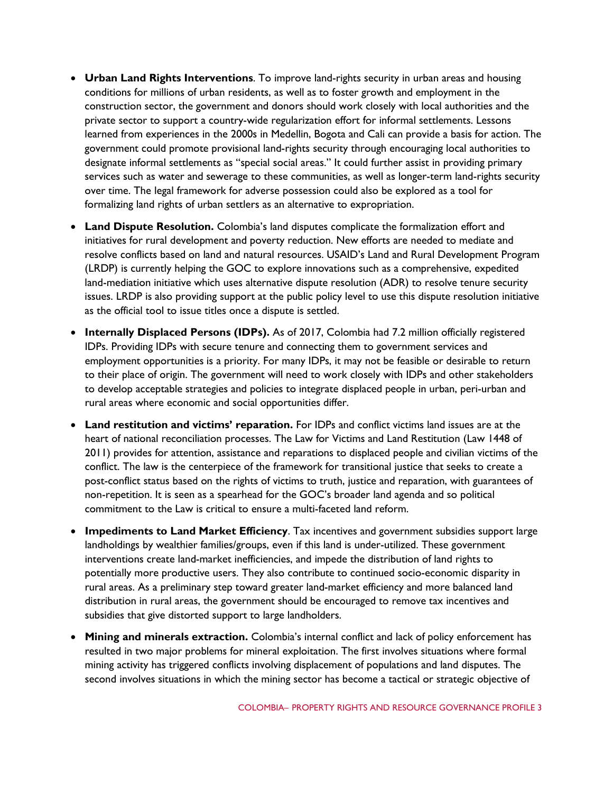- **Urban Land Rights Interventions**. To improve land-rights security in urban areas and housing conditions for millions of urban residents, as well as to foster growth and employment in the construction sector, the government and donors should work closely with local authorities and the private sector to support a country-wide regularization effort for informal settlements. Lessons learned from experiences in the 2000s in Medellin, Bogota and Cali can provide a basis for action. The government could promote provisional land-rights security through encouraging local authorities to designate informal settlements as "special social areas." It could further assist in providing primary services such as water and sewerage to these communities, as well as longer-term land-rights security over time. The legal framework for adverse possession could also be explored as a tool for formalizing land rights of urban settlers as an alternative to expropriation.
- **Land Dispute Resolution.** Colombia's land disputes complicate the formalization effort and initiatives for rural development and poverty reduction. New efforts are needed to mediate and resolve conflicts based on land and natural resources. USAID's Land and Rural Development Program (LRDP) is currently helping the GOC to explore innovations such as a comprehensive, expedited land-mediation initiative which uses alternative dispute resolution (ADR) to resolve tenure security issues. LRDP is also providing support at the public policy level to use this dispute resolution initiative as the official tool to issue titles once a dispute is settled.
- **Internally Displaced Persons (IDPs).** As of 2017, Colombia had 7.2 million officially registered IDPs. Providing IDPs with secure tenure and connecting them to government services and employment opportunities is a priority. For many IDPs, it may not be feasible or desirable to return to their place of origin. The government will need to work closely with IDPs and other stakeholders to develop acceptable strategies and policies to integrate displaced people in urban, peri-urban and rural areas where economic and social opportunities differ.
- **Land restitution and victims' reparation.** For IDPs and conflict victims land issues are at the heart of national reconciliation processes. The Law for Victims and Land Restitution (Law 1448 of 2011) provides for attention, assistance and reparations to displaced people and civilian victims of the conflict. The law is the centerpiece of the framework for transitional justice that seeks to create a post-conflict status based on the rights of victims to truth, justice and reparation, with guarantees of non-repetition. It is seen as a spearhead for the GOC's broader land agenda and so political commitment to the Law is critical to ensure a multi-faceted land reform.
- **Impediments to Land Market Efficiency**. Tax incentives and government subsidies support large landholdings by wealthier families/groups, even if this land is under-utilized. These government interventions create land-market inefficiencies, and impede the distribution of land rights to potentially more productive users. They also contribute to continued socio-economic disparity in rural areas. As a preliminary step toward greater land-market efficiency and more balanced land distribution in rural areas, the government should be encouraged to remove tax incentives and subsidies that give distorted support to large landholders.
- **Mining and minerals extraction.** Colombia's internal conflict and lack of policy enforcement has resulted in two major problems for mineral exploitation. The first involves situations where formal mining activity has triggered conflicts involving displacement of populations and land disputes. The second involves situations in which the mining sector has become a tactical or strategic objective of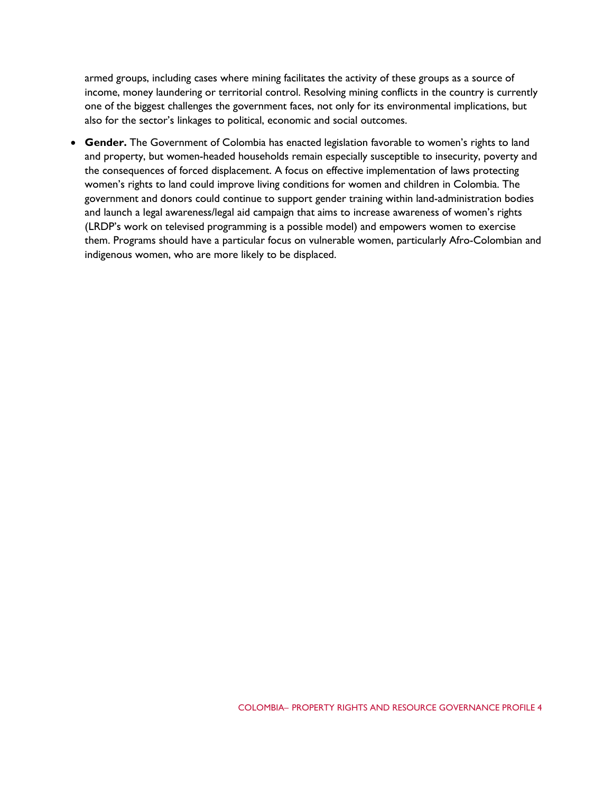armed groups, including cases where mining facilitates the activity of these groups as a source of income, money laundering or territorial control. Resolving mining conflicts in the country is currently one of the biggest challenges the government faces, not only for its environmental implications, but also for the sector's linkages to political, economic and social outcomes.

• **Gender.** The Government of Colombia has enacted legislation favorable to women's rights to land and property, but women-headed households remain especially susceptible to insecurity, poverty and the consequences of forced displacement. A focus on effective implementation of laws protecting women's rights to land could improve living conditions for women and children in Colombia. The government and donors could continue to support gender training within land-administration bodies and launch a legal awareness/legal aid campaign that aims to increase awareness of women's rights (LRDP's work on televised programming is a possible model) and empowers women to exercise them. Programs should have a particular focus on vulnerable women, particularly Afro-Colombian and indigenous women, who are more likely to be displaced.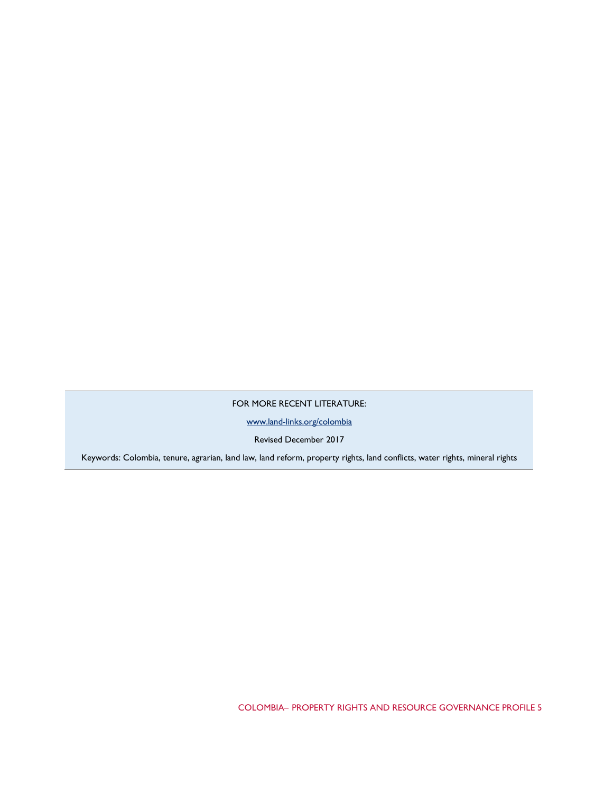#### FOR MORE RECENT LITERATURE:

[www.land-links.org/colombia](http://www.land-links.org/colombia)

Revised December 2017

Keywords: Colombia, tenure, agrarian, land law, land reform, property rights, land conflicts, water rights, mineral rights

COLOMBIA– PROPERTY RIGHTS AND RESOURCE GOVERNANCE PROFILE 5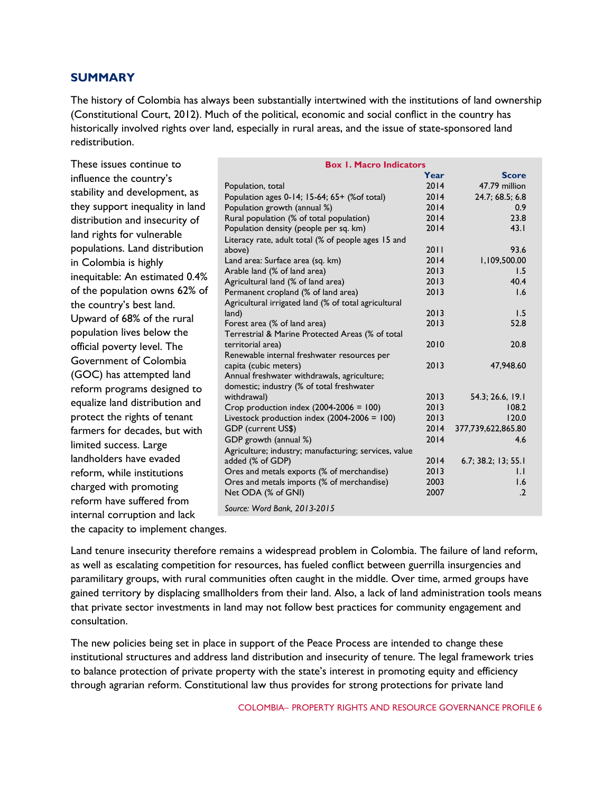# **SUMMARY**

The history of Colombia has always been substantially intertwined with the institutions of land ownership (Constitutional Court, 2012). Much of the political, economic and social conflict in the country has historically involved rights over land, especially in rural areas, and the issue of state-sponsored land redistribution.

| These issues continue to        | <b>Box I. Macro Indicators</b>                                   |              |                      |
|---------------------------------|------------------------------------------------------------------|--------------|----------------------|
| influence the country's         |                                                                  | Year         | <b>Score</b>         |
| stability and development, as   | Population, total                                                | 2014         | 47.79 million        |
|                                 | Population ages 0-14; 15-64; 65+ (% of total)                    | 2014         | 24.7; 68.5; 6.8      |
| they support inequality in land | Population growth (annual %)                                     | 2014         | 0.9                  |
| distribution and insecurity of  | Rural population (% of total population)                         | 2014         | 23.8                 |
| land rights for vulnerable      | Population density (people per sq. km)                           | 2014         | 43.1                 |
| populations. Land distribution  | Literacy rate, adult total (% of people ages 15 and              |              |                      |
|                                 | above)                                                           | 2011<br>2014 | 93.6<br>1,109,500.00 |
| in Colombia is highly           | Land area: Surface area (sq. km)<br>Arable land (% of land area) | 2013         | 1.5                  |
| inequitable: An estimated 0.4%  | Agricultural land (% of land area)                               | 2013         | 40.4                 |
| of the population owns 62% of   | Permanent cropland (% of land area)                              | 2013         | 1.6                  |
| the country's best land.        | Agricultural irrigated land (% of total agricultural             |              |                      |
|                                 | land)                                                            | 2013         | 1.5                  |
| Upward of 68% of the rural      | Forest area (% of land area)                                     | 2013         | 52.8                 |
| population lives below the      | Terrestrial & Marine Protected Areas (% of total                 |              |                      |
| official poverty level. The     | territorial area)                                                | 2010         | 20.8                 |
| Government of Colombia          | Renewable internal freshwater resources per                      |              |                      |
|                                 | capita (cubic meters)                                            | 2013         | 47,948.60            |
| (GOC) has attempted land        | Annual freshwater withdrawals, agriculture;                      |              |                      |
| reform programs designed to     | domestic; industry (% of total freshwater<br>withdrawal)         | 2013         | 54.3; 26.6, 19.1     |
| equalize land distribution and  | Crop production index $(2004-2006 = 100)$                        | 2013         | 108.2                |
| protect the rights of tenant    | Livestock production index $(2004-2006 = 100)$                   | 2013         | 120.0                |
| farmers for decades, but with   | GDP (current US\$)                                               | 2014         | 377,739,622,865.80   |
|                                 | GDP growth (annual %)                                            | 2014         | 4.6                  |
| limited success. Large          | Agriculture; industry; manufacturing; services, value            |              |                      |
| landholders have evaded         | added (% of GDP)                                                 | 2014         | 6.7; 38.2; 13; 55.1  |
| reform, while institutions      | Ores and metals exports (% of merchandise)                       | 2013         | 1.1                  |
| charged with promoting          | Ores and metals imports (% of merchandise)                       | 2003         | 1.6                  |
| reform have suffered from       | Net ODA (% of GNI)                                               | 2007         | $\cdot$ .2           |
|                                 | Source: Word Bank, 2013-2015                                     |              |                      |
| internal corruption and lack    |                                                                  |              |                      |

the capacity to implement changes.

Land tenure insecurity therefore remains a widespread problem in Colombia. The failure of land reform, as well as escalating competition for resources, has fueled conflict between guerrilla insurgencies and paramilitary groups, with rural communities often caught in the middle. Over time, armed groups have gained territory by displacing smallholders from their land. Also, a lack of land administration tools means that private sector investments in land may not follow best practices for community engagement and consultation.

The new policies being set in place in support of the Peace Process are intended to change these institutional structures and address land distribution and insecurity of tenure. The legal framework tries to balance protection of private property with the state's interest in promoting equity and efficiency through agrarian reform. Constitutional law thus provides for strong protections for private land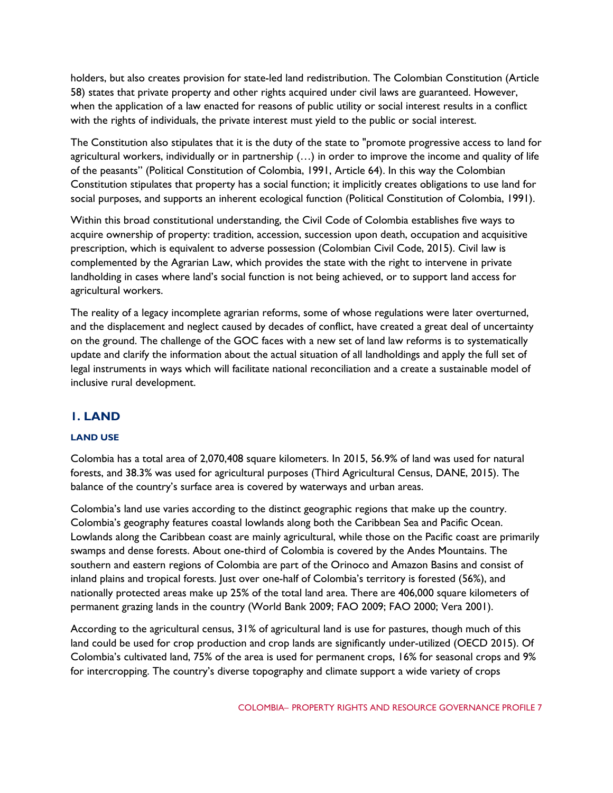holders, but also creates provision for state-led land redistribution. The Colombian Constitution (Article 58) states that private property and other rights acquired under civil laws are guaranteed. However, when the application of a law enacted for reasons of public utility or social interest results in a conflict with the rights of individuals, the private interest must yield to the public or social interest.

The Constitution also stipulates that it is the duty of the state to "promote progressive access to land for agricultural workers, individually or in partnership (…) in order to improve the income and quality of life of the peasants" (Political Constitution of Colombia, 1991, Article 64). In this way the Colombian Constitution stipulates that property has a social function; it implicitly creates obligations to use land for social purposes, and supports an inherent ecological function (Political Constitution of Colombia, 1991).

Within this broad constitutional understanding, the Civil Code of Colombia establishes five ways to acquire ownership of property: tradition, accession, succession upon death, occupation and acquisitive prescription, which is equivalent to adverse possession (Colombian Civil Code, 2015). Civil law is complemented by the Agrarian Law, which provides the state with the right to intervene in private landholding in cases where land's social function is not being achieved, or to support land access for agricultural workers.

The reality of a legacy incomplete agrarian reforms, some of whose regulations were later overturned, and the displacement and neglect caused by decades of conflict, have created a great deal of uncertainty on the ground. The challenge of the GOC faces with a new set of land law reforms is to systematically update and clarify the information about the actual situation of all landholdings and apply the full set of legal instruments in ways which will facilitate national reconciliation and a create a sustainable model of inclusive rural development.

# **1. LAND**

# **LAND USE**

Colombia has a total area of 2,070,408 square kilometers. In 2015, 56.9% of land was used for natural forests, and 38.3% was used for agricultural purposes (Third Agricultural Census, DANE, 2015). The balance of the country's surface area is covered by waterways and urban areas.

Colombia's land use varies according to the distinct geographic regions that make up the country. Colombia's geography features coastal lowlands along both the Caribbean Sea and Pacific Ocean. Lowlands along the Caribbean coast are mainly agricultural, while those on the Pacific coast are primarily swamps and dense forests. About one-third of Colombia is covered by the Andes Mountains. The southern and eastern regions of Colombia are part of the Orinoco and Amazon Basins and consist of inland plains and tropical forests. Just over one-half of Colombia's territory is forested (56%), and nationally protected areas make up 25% of the total land area. There are 406,000 square kilometers of permanent grazing lands in the country (World Bank 2009; FAO 2009; FAO 2000; Vera 2001).

According to the agricultural census, 31% of agricultural land is use for pastures, though much of this land could be used for crop production and crop lands are significantly under-utilized (OECD 2015). Of Colombia's cultivated land, 75% of the area is used for permanent crops, 16% for seasonal crops and 9% for intercropping. The country's diverse topography and climate support a wide variety of crops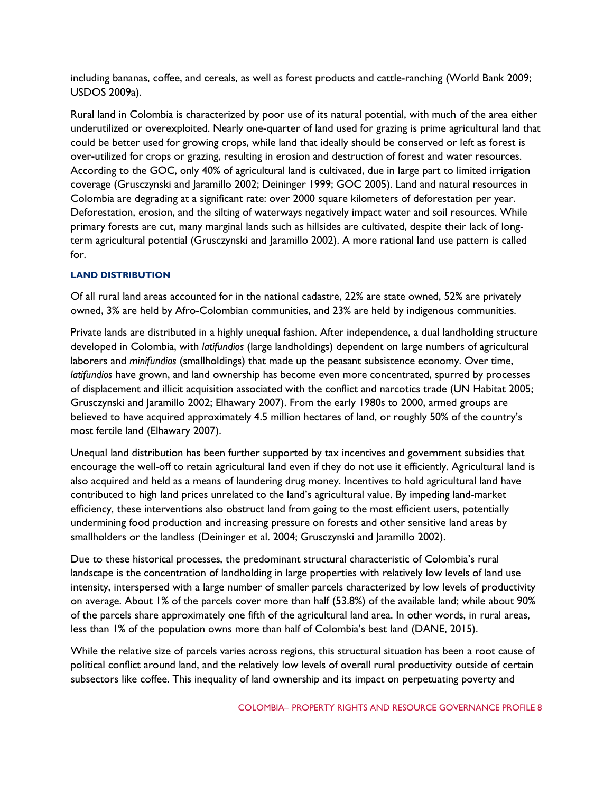including bananas, coffee, and cereals, as well as forest products and cattle-ranching (World Bank 2009; USDOS 2009a).

Rural land in Colombia is characterized by poor use of its natural potential, with much of the area either underutilized or overexploited. Nearly one-quarter of land used for grazing is prime agricultural land that could be better used for growing crops, while land that ideally should be conserved or left as forest is over-utilized for crops or grazing, resulting in erosion and destruction of forest and water resources. According to the GOC, only 40% of agricultural land is cultivated, due in large part to limited irrigation coverage (Grusczynski and Jaramillo 2002; Deininger 1999; GOC 2005). Land and natural resources in Colombia are degrading at a significant rate: over 2000 square kilometers of deforestation per year. Deforestation, erosion, and the silting of waterways negatively impact water and soil resources. While primary forests are cut, many marginal lands such as hillsides are cultivated, despite their lack of longterm agricultural potential (Grusczynski and Jaramillo 2002). A more rational land use pattern is called for.

# **LAND DISTRIBUTION**

Of all rural land areas accounted for in the national cadastre, 22% are state owned, 52% are privately owned, 3% are held by Afro-Colombian communities, and 23% are held by indigenous communities.

Private lands are distributed in a highly unequal fashion. After independence, a dual landholding structure developed in Colombia, with *latifundios* (large landholdings) dependent on large numbers of agricultural laborers and *minifundios* (smallholdings) that made up the peasant subsistence economy. Over time, *latifundios* have grown, and land ownership has become even more concentrated, spurred by processes of displacement and illicit acquisition associated with the conflict and narcotics trade (UN Habitat 2005; Grusczynski and Jaramillo 2002; Elhawary 2007). From the early 1980s to 2000, armed groups are believed to have acquired approximately 4.5 million hectares of land, or roughly 50% of the country's most fertile land (Elhawary 2007).

Unequal land distribution has been further supported by tax incentives and government subsidies that encourage the well-off to retain agricultural land even if they do not use it efficiently. Agricultural land is also acquired and held as a means of laundering drug money. Incentives to hold agricultural land have contributed to high land prices unrelated to the land's agricultural value. By impeding land-market efficiency, these interventions also obstruct land from going to the most efficient users, potentially undermining food production and increasing pressure on forests and other sensitive land areas by smallholders or the landless (Deininger et al. 2004; Grusczynski and Jaramillo 2002).

Due to these historical processes, the predominant structural characteristic of Colombia's rural landscape is the concentration of landholding in large properties with relatively low levels of land use intensity, interspersed with a large number of smaller parcels characterized by low levels of productivity on average. About 1% of the parcels cover more than half (53.8%) of the available land; while about 90% of the parcels share approximately one fifth of the agricultural land area. In other words, in rural areas, less than 1% of the population owns more than half of Colombia's best land (DANE, 2015).

While the relative size of parcels varies across regions, this structural situation has been a root cause of political conflict around land, and the relatively low levels of overall rural productivity outside of certain subsectors like coffee. This inequality of land ownership and its impact on perpetuating poverty and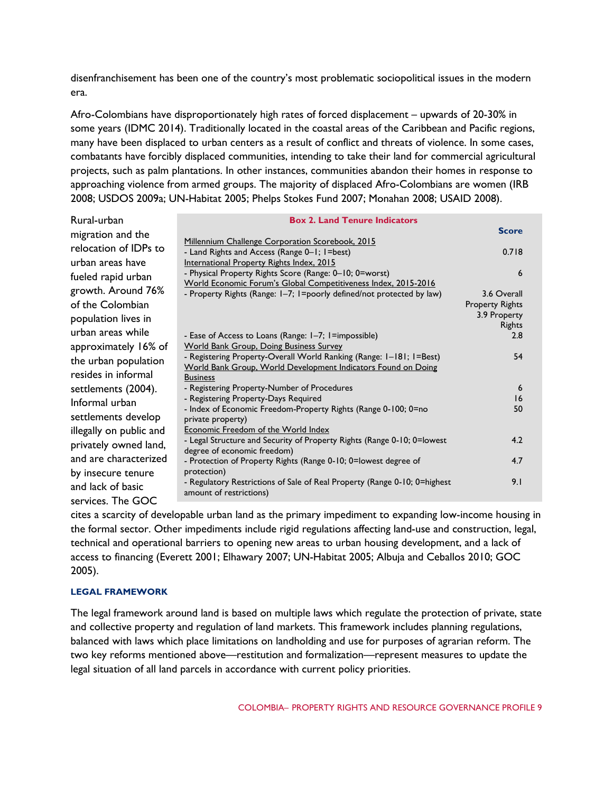disenfranchisement has been one of the country's most problematic sociopolitical issues in the modern era.

Afro-Colombians have disproportionately high rates of forced displacement – upwards of 20-30% in some years (IDMC 2014). Traditionally located in the coastal areas of the Caribbean and Pacific regions, many have been displaced to urban centers as a result of conflict and threats of violence. In some cases, combatants have forcibly displaced communities, intending to take their land for commercial agricultural projects, such as palm plantations. In other instances, communities abandon their homes in response to approaching violence from armed groups. The majority of displaced Afro-Colombians are women (IRB 2008; USDOS 2009a; UN-Habitat 2005; Phelps Stokes Fund 2007; Monahan 2008; USAID 2008).

| <b>Box 2. Land Tenure Indicators</b>                                    |                                                                                                                                                                                                                                                                                                                                                                                                                                                                                                                                                                                                                                                                                                                                                                                                                                                                                                                                                    |                                                                                                    |
|-------------------------------------------------------------------------|----------------------------------------------------------------------------------------------------------------------------------------------------------------------------------------------------------------------------------------------------------------------------------------------------------------------------------------------------------------------------------------------------------------------------------------------------------------------------------------------------------------------------------------------------------------------------------------------------------------------------------------------------------------------------------------------------------------------------------------------------------------------------------------------------------------------------------------------------------------------------------------------------------------------------------------------------|----------------------------------------------------------------------------------------------------|
|                                                                         |                                                                                                                                                                                                                                                                                                                                                                                                                                                                                                                                                                                                                                                                                                                                                                                                                                                                                                                                                    |                                                                                                    |
|                                                                         |                                                                                                                                                                                                                                                                                                                                                                                                                                                                                                                                                                                                                                                                                                                                                                                                                                                                                                                                                    |                                                                                                    |
|                                                                         |                                                                                                                                                                                                                                                                                                                                                                                                                                                                                                                                                                                                                                                                                                                                                                                                                                                                                                                                                    |                                                                                                    |
|                                                                         |                                                                                                                                                                                                                                                                                                                                                                                                                                                                                                                                                                                                                                                                                                                                                                                                                                                                                                                                                    |                                                                                                    |
|                                                                         |                                                                                                                                                                                                                                                                                                                                                                                                                                                                                                                                                                                                                                                                                                                                                                                                                                                                                                                                                    |                                                                                                    |
|                                                                         |                                                                                                                                                                                                                                                                                                                                                                                                                                                                                                                                                                                                                                                                                                                                                                                                                                                                                                                                                    |                                                                                                    |
|                                                                         |                                                                                                                                                                                                                                                                                                                                                                                                                                                                                                                                                                                                                                                                                                                                                                                                                                                                                                                                                    |                                                                                                    |
|                                                                         | 3.9 Property                                                                                                                                                                                                                                                                                                                                                                                                                                                                                                                                                                                                                                                                                                                                                                                                                                                                                                                                       |                                                                                                    |
|                                                                         | <b>Rights</b>                                                                                                                                                                                                                                                                                                                                                                                                                                                                                                                                                                                                                                                                                                                                                                                                                                                                                                                                      |                                                                                                    |
| - Ease of Access to Loans (Range: I-7; I=impossible)                    | 2.8                                                                                                                                                                                                                                                                                                                                                                                                                                                                                                                                                                                                                                                                                                                                                                                                                                                                                                                                                |                                                                                                    |
|                                                                         |                                                                                                                                                                                                                                                                                                                                                                                                                                                                                                                                                                                                                                                                                                                                                                                                                                                                                                                                                    |                                                                                                    |
|                                                                         |                                                                                                                                                                                                                                                                                                                                                                                                                                                                                                                                                                                                                                                                                                                                                                                                                                                                                                                                                    |                                                                                                    |
|                                                                         |                                                                                                                                                                                                                                                                                                                                                                                                                                                                                                                                                                                                                                                                                                                                                                                                                                                                                                                                                    |                                                                                                    |
|                                                                         |                                                                                                                                                                                                                                                                                                                                                                                                                                                                                                                                                                                                                                                                                                                                                                                                                                                                                                                                                    |                                                                                                    |
|                                                                         |                                                                                                                                                                                                                                                                                                                                                                                                                                                                                                                                                                                                                                                                                                                                                                                                                                                                                                                                                    |                                                                                                    |
|                                                                         | 50                                                                                                                                                                                                                                                                                                                                                                                                                                                                                                                                                                                                                                                                                                                                                                                                                                                                                                                                                 |                                                                                                    |
| private property)                                                       |                                                                                                                                                                                                                                                                                                                                                                                                                                                                                                                                                                                                                                                                                                                                                                                                                                                                                                                                                    |                                                                                                    |
| Economic Freedom of the World Index                                     |                                                                                                                                                                                                                                                                                                                                                                                                                                                                                                                                                                                                                                                                                                                                                                                                                                                                                                                                                    |                                                                                                    |
| - Legal Structure and Security of Property Rights (Range 0-10; 0=lowest | 4.2                                                                                                                                                                                                                                                                                                                                                                                                                                                                                                                                                                                                                                                                                                                                                                                                                                                                                                                                                |                                                                                                    |
|                                                                         |                                                                                                                                                                                                                                                                                                                                                                                                                                                                                                                                                                                                                                                                                                                                                                                                                                                                                                                                                    |                                                                                                    |
|                                                                         |                                                                                                                                                                                                                                                                                                                                                                                                                                                                                                                                                                                                                                                                                                                                                                                                                                                                                                                                                    |                                                                                                    |
|                                                                         |                                                                                                                                                                                                                                                                                                                                                                                                                                                                                                                                                                                                                                                                                                                                                                                                                                                                                                                                                    |                                                                                                    |
|                                                                         |                                                                                                                                                                                                                                                                                                                                                                                                                                                                                                                                                                                                                                                                                                                                                                                                                                                                                                                                                    |                                                                                                    |
|                                                                         |                                                                                                                                                                                                                                                                                                                                                                                                                                                                                                                                                                                                                                                                                                                                                                                                                                                                                                                                                    |                                                                                                    |
|                                                                         | Millennium Challenge Corporation Scorebook, 2015<br>- Land Rights and Access (Range 0-1; 1=best)<br>International Property Rights Index, 2015<br>- Physical Property Rights Score (Range: 0-10; 0=worst)<br>World Economic Forum's Global Competitiveness Index, 2015-2016<br>- Property Rights (Range: I-7; I=poorly defined/not protected by law)<br><b>World Bank Group, Doing Business Survey</b><br>- Registering Property-Overall World Ranking (Range: I-181; I=Best)<br>World Bank Group, World Development Indicators Found on Doing<br><b>Business</b><br>- Registering Property-Number of Procedures<br>- Registering Property-Days Required<br>- Index of Economic Freedom-Property Rights (Range 0-100; 0=no<br>degree of economic freedom)<br>- Protection of Property Rights (Range 0-10; 0=lowest degree of<br>protection)<br>- Regulatory Restrictions of Sale of Real Property (Range 0-10; 0=highest<br>amount of restrictions) | <b>Score</b><br>0.718<br>6<br>3.6 Overall<br><b>Property Rights</b><br>54<br>6<br>16<br>4.7<br>9.1 |

cites a scarcity of developable urban land as the primary impediment to expanding low-income housing in the formal sector. Other impediments include rigid regulations affecting land-use and construction, legal, technical and operational barriers to opening new areas to urban housing development, and a lack of access to financing (Everett 2001; Elhawary 2007; UN-Habitat 2005; Albuja and Ceballos 2010; GOC 2005).

#### **LEGAL FRAMEWORK**

The legal framework around land is based on multiple laws which regulate the protection of private, state and collective property and regulation of land markets. This framework includes planning regulations, balanced with laws which place limitations on landholding and use for purposes of agrarian reform. The two key reforms mentioned above—restitution and formalization—represent measures to update the legal situation of all land parcels in accordance with current policy priorities.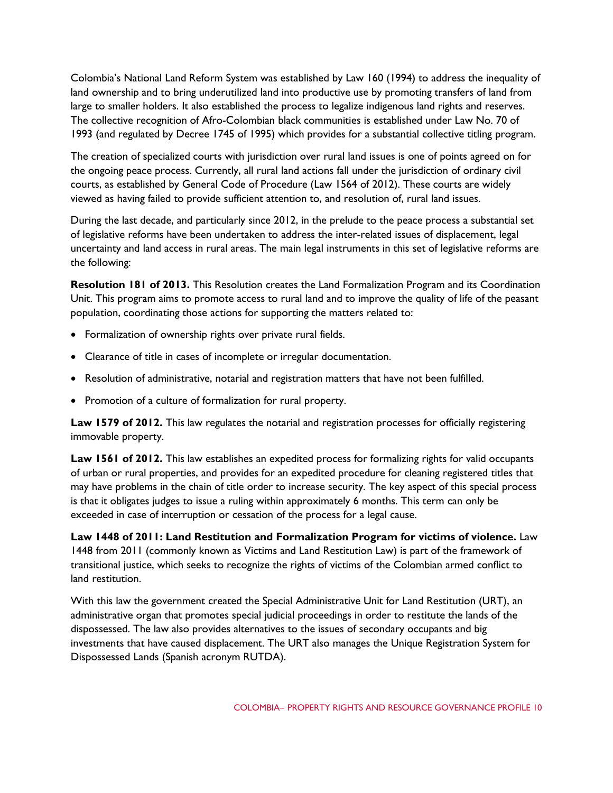Colombia's National Land Reform System was established by Law 160 (1994) to address the inequality of land ownership and to bring underutilized land into productive use by promoting transfers of land from large to smaller holders. It also established the process to legalize indigenous land rights and reserves. The collective recognition of Afro-Colombian black communities is established under Law No. 70 of 1993 (and regulated by Decree 1745 of 1995) which provides for a substantial collective titling program.

The creation of specialized courts with jurisdiction over rural land issues is one of points agreed on for the ongoing peace process. Currently, all rural land actions fall under the jurisdiction of ordinary civil courts, as established by General Code of Procedure (Law 1564 of 2012). These courts are widely viewed as having failed to provide sufficient attention to, and resolution of, rural land issues.

During the last decade, and particularly since 2012, in the prelude to the peace process a substantial set of legislative reforms have been undertaken to address the inter-related issues of displacement, legal uncertainty and land access in rural areas. The main legal instruments in this set of legislative reforms are the following:

**Resolution 181 of 2013.** This Resolution creates the Land Formalization Program and its Coordination Unit. This program aims to promote access to rural land and to improve the quality of life of the peasant population, coordinating those actions for supporting the matters related to:

- Formalization of ownership rights over private rural fields.
- Clearance of title in cases of incomplete or irregular documentation.
- Resolution of administrative, notarial and registration matters that have not been fulfilled.
- Promotion of a culture of formalization for rural property.

**Law 1579 of 2012.** This law regulates the notarial and registration processes for officially registering immovable property.

**Law 1561 of 2012.** This law establishes an expedited process for formalizing rights for valid occupants of urban or rural properties, and provides for an expedited procedure for cleaning registered titles that may have problems in the chain of title order to increase security. The key aspect of this special process is that it obligates judges to issue a ruling within approximately 6 months. This term can only be exceeded in case of interruption or cessation of the process for a legal cause.

**Law 1448 of 2011: Land Restitution and Formalization Program for victims of violence.** Law 1448 from 2011 (commonly known as Victims and Land Restitution Law) is part of the framework of transitional justice, which seeks to recognize the rights of victims of the Colombian armed conflict to land restitution.

With this law the government created the Special Administrative Unit for Land Restitution (URT), an administrative organ that promotes special judicial proceedings in order to restitute the lands of the dispossessed. The law also provides alternatives to the issues of secondary occupants and big investments that have caused displacement. The URT also manages the Unique Registration System for Dispossessed Lands (Spanish acronym RUTDA).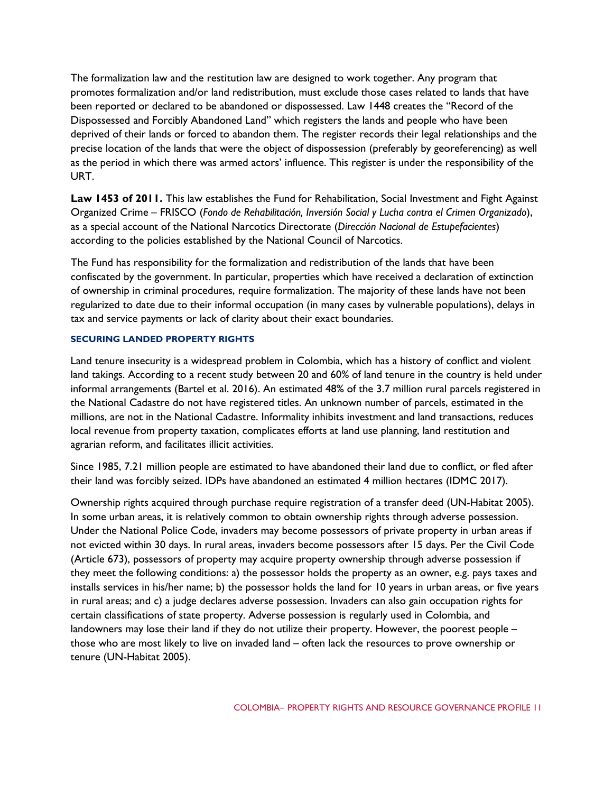The formalization law and the restitution law are designed to work together. Any program that promotes formalization and/or land redistribution, must exclude those cases related to lands that have been reported or declared to be abandoned or dispossessed. Law 1448 creates the "Record of the Dispossessed and Forcibly Abandoned Land" which registers the lands and people who have been deprived of their lands or forced to abandon them. The register records their legal relationships and the precise location of the lands that were the object of dispossession (preferably by georeferencing) as well as the period in which there was armed actors' influence. This register is under the responsibility of the URT.

**Law 1453 of 2011.** This law establishes the Fund for Rehabilitation, Social Investment and Fight Against Organized Crime – FRISCO (*Fondo de Rehabilitación, Inversión Social y Lucha contra el Crimen Organizado*), as a special account of the National Narcotics Directorate (*Dirección Nacional de Estupefacientes*) according to the policies established by the National Council of Narcotics.

The Fund has responsibility for the formalization and redistribution of the lands that have been confiscated by the government. In particular, properties which have received a declaration of extinction of ownership in criminal procedures, require formalization. The majority of these lands have not been regularized to date due to their informal occupation (in many cases by vulnerable populations), delays in tax and service payments or lack of clarity about their exact boundaries.

## **SECURING LANDED PROPERTY RIGHTS**

Land tenure insecurity is a widespread problem in Colombia, which has a history of conflict and violent land takings. According to a recent study between 20 and 60% of land tenure in the country is held under informal arrangements (Bartel et al. 2016). An estimated 48% of the 3.7 million rural parcels registered in the National Cadastre do not have registered titles. An unknown number of parcels, estimated in the millions, are not in the National Cadastre. Informality inhibits investment and land transactions, reduces local revenue from property taxation, complicates efforts at land use planning, land restitution and agrarian reform, and facilitates illicit activities.

Since 1985, 7.21 million people are estimated to have abandoned their land due to conflict, or fled after their land was forcibly seized. IDPs have abandoned an estimated 4 million hectares (IDMC 2017).

Ownership rights acquired through purchase require registration of a transfer deed (UN-Habitat 2005). In some urban areas, it is relatively common to obtain ownership rights through adverse possession. Under the National Police Code, invaders may become possessors of private property in urban areas if not evicted within 30 days. In rural areas, invaders become possessors after 15 days. Per the Civil Code (Article 673), possessors of property may acquire property ownership through adverse possession if they meet the following conditions: a) the possessor holds the property as an owner, e.g. pays taxes and installs services in his/her name; b) the possessor holds the land for 10 years in urban areas, or five years in rural areas; and c) a judge declares adverse possession. Invaders can also gain occupation rights for certain classifications of state property. Adverse possession is regularly used in Colombia, and landowners may lose their land if they do not utilize their property. However, the poorest people – those who are most likely to live on invaded land – often lack the resources to prove ownership or tenure (UN-Habitat 2005).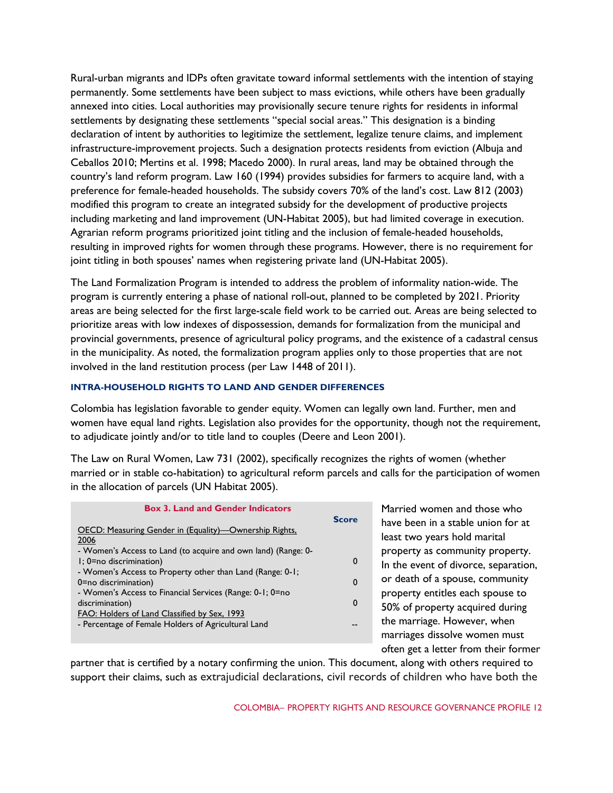Rural-urban migrants and IDPs often gravitate toward informal settlements with the intention of staying permanently. Some settlements have been subject to mass evictions, while others have been gradually annexed into cities. Local authorities may provisionally secure tenure rights for residents in informal settlements by designating these settlements "special social areas." This designation is a binding declaration of intent by authorities to legitimize the settlement, legalize tenure claims, and implement infrastructure-improvement projects. Such a designation protects residents from eviction (Albuja and Ceballos 2010; Mertins et al. 1998; Macedo 2000). In rural areas, land may be obtained through the country's land reform program. Law 160 (1994) provides subsidies for farmers to acquire land, with a preference for female-headed households. The subsidy covers 70% of the land's cost. Law 812 (2003) modified this program to create an integrated subsidy for the development of productive projects including marketing and land improvement (UN-Habitat 2005), but had limited coverage in execution. Agrarian reform programs prioritized joint titling and the inclusion of female-headed households, resulting in improved rights for women through these programs. However, there is no requirement for joint titling in both spouses' names when registering private land (UN-Habitat 2005).

The Land Formalization Program is intended to address the problem of informality nation-wide. The program is currently entering a phase of national roll-out, planned to be completed by 2021. Priority areas are being selected for the first large-scale field work to be carried out. Areas are being selected to prioritize areas with low indexes of dispossession, demands for formalization from the municipal and provincial governments, presence of agricultural policy programs, and the existence of a cadastral census in the municipality. As noted, the formalization program applies only to those properties that are not involved in the land restitution process (per Law 1448 of 2011).

## **INTRA-HOUSEHOLD RIGHTS TO LAND AND GENDER DIFFERENCES**

Colombia has legislation favorable to gender equity. Women can legally own land. Further, men and women have equal land rights. Legislation also provides for the opportunity, though not the requirement, to adjudicate jointly and/or to title land to couples (Deere and Leon 2001).

The Law on Rural Women, Law 731 (2002), specifically recognizes the rights of women (whether married or in stable co-habitation) to agricultural reform parcels and calls for the participation of women in the allocation of parcels (UN Habitat 2005).

| <b>Box 3. Land and Gender Indicators</b>                                                                              |              |
|-----------------------------------------------------------------------------------------------------------------------|--------------|
| <b>OECD: Measuring Gender in (Equality)—Ownership Rights.</b><br>2006                                                 | <b>Score</b> |
| - Women's Access to Land (to acquire and own land) (Range: 0-<br>$\mathsf{l}$ ; 0=no discrimination)                  |              |
| 0=no discrimination)                                                                                                  | 0            |
| discrimination)<br>FAO: Holders of Land Classified by Sex, 1993                                                       | 0            |
| - Percentage of Female Holders of Agricultural Land                                                                   |              |
| - Women's Access to Property other than Land (Range: 0-1;<br>- Women's Access to Financial Services (Range: 0-1; 0=no |              |

Married women and those who have been in a stable union for at least two years hold marital property as community property. In the event of divorce, separation, or death of a spouse, community property entitles each spouse to 50% of property acquired during the marriage. However, when marriages dissolve women must often get a letter from their former

partner that is certified by a notary confirming the union. This document, along with others required to support their claims, such as extrajudicial declarations, civil records of children who have both the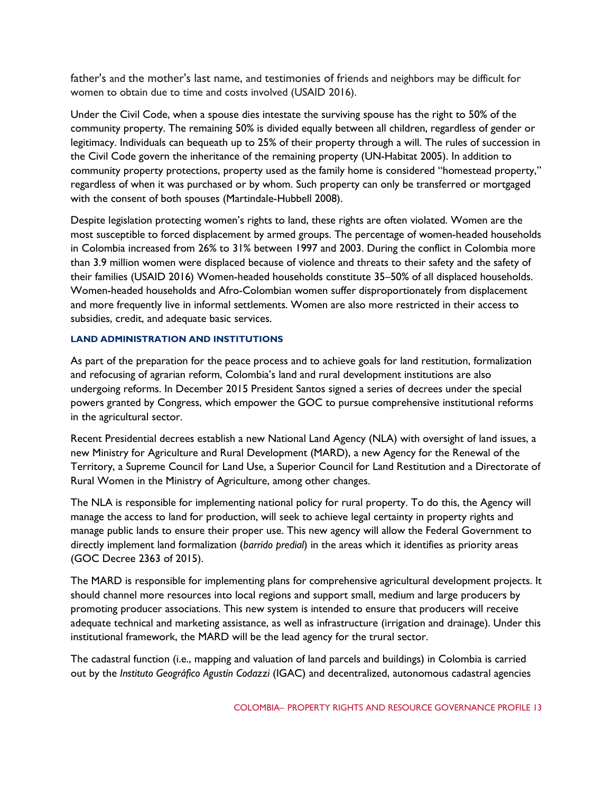father's and the mother's last name, and testimonies of friends and neighbors may be difficult for women to obtain due to time and costs involved (USAID 2016).

Under the Civil Code, when a spouse dies intestate the surviving spouse has the right to 50% of the community property. The remaining 50% is divided equally between all children, regardless of gender or legitimacy. Individuals can bequeath up to 25% of their property through a will. The rules of succession in the Civil Code govern the inheritance of the remaining property (UN-Habitat 2005). In addition to community property protections, property used as the family home is considered "homestead property," regardless of when it was purchased or by whom. Such property can only be transferred or mortgaged with the consent of both spouses (Martindale-Hubbell 2008).

Despite legislation protecting women's rights to land, these rights are often violated. Women are the most susceptible to forced displacement by armed groups. The percentage of women-headed households in Colombia increased from 26% to 31% between 1997 and 2003. During the conflict in Colombia more than 3.9 million women were displaced because of violence and threats to their safety and the safety of their families (USAID 2016) Women-headed households constitute 35–50% of all displaced households. Women-headed households and Afro-Colombian women suffer disproportionately from displacement and more frequently live in informal settlements. Women are also more restricted in their access to subsidies, credit, and adequate basic services.

# **LAND ADMINISTRATION AND INSTITUTIONS**

As part of the preparation for the peace process and to achieve goals for land restitution, formalization and refocusing of agrarian reform, Colombia's land and rural development institutions are also undergoing reforms. In December 2015 President Santos signed a series of decrees under the special powers granted by Congress, which empower the GOC to pursue comprehensive institutional reforms in the agricultural sector.

Recent Presidential decrees establish a new National Land Agency (NLA) with oversight of land issues, a new Ministry for Agriculture and Rural Development (MARD), a new Agency for the Renewal of the Territory, a Supreme Council for Land Use, a Superior Council for Land Restitution and a Directorate of Rural Women in the Ministry of Agriculture, among other changes.

The NLA is responsible for implementing national policy for rural property. To do this, the Agency will manage the access to land for production, will seek to achieve legal certainty in property rights and manage public lands to ensure their proper use. This new agency will allow the Federal Government to directly implement land formalization (*barrido predial*) in the areas which it identifies as priority areas (GOC Decree 2363 of 2015).

The MARD is responsible for implementing plans for comprehensive agricultural development projects. It should channel more resources into local regions and support small, medium and large producers by promoting producer associations. This new system is intended to ensure that producers will receive adequate technical and marketing assistance, as well as infrastructure (irrigation and drainage). Under this institutional framework, the MARD will be the lead agency for the trural sector.

The cadastral function (i.e., mapping and valuation of land parcels and buildings) in Colombia is carried out by the *Instituto Geográfico Agustín Codazzi* (IGAC) and decentralized, autonomous cadastral agencies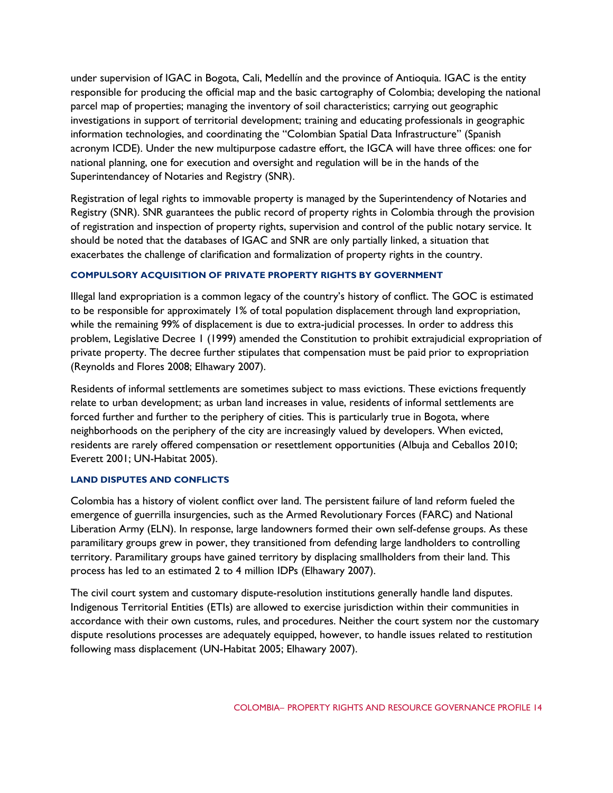under supervision of IGAC in Bogota, Cali, Medellín and the province of Antioquia. IGAC is the entity responsible for producing the official map and the basic cartography of Colombia; developing the national parcel map of properties; managing the inventory of soil characteristics; carrying out geographic investigations in support of territorial development; training and educating professionals in geographic information technologies, and coordinating the "Colombian Spatial Data Infrastructure" (Spanish acronym ICDE). Under the new multipurpose cadastre effort, the IGCA will have three offices: one for national planning, one for execution and oversight and regulation will be in the hands of the Superintendancey of Notaries and Registry (SNR).

Registration of legal rights to immovable property is managed by the Superintendency of Notaries and Registry (SNR). SNR guarantees the public record of property rights in Colombia through the provision of registration and inspection of property rights, supervision and control of the public notary service. It should be noted that the databases of IGAC and SNR are only partially linked, a situation that exacerbates the challenge of clarification and formalization of property rights in the country.

# **COMPULSORY ACQUISITION OF PRIVATE PROPERTY RIGHTS BY GOVERNMENT**

Illegal land expropriation is a common legacy of the country's history of conflict. The GOC is estimated to be responsible for approximately 1% of total population displacement through land expropriation, while the remaining 99% of displacement is due to extra-judicial processes. In order to address this problem, Legislative Decree 1 (1999) amended the Constitution to prohibit extrajudicial expropriation of private property. The decree further stipulates that compensation must be paid prior to expropriation (Reynolds and Flores 2008; Elhawary 2007).

Residents of informal settlements are sometimes subject to mass evictions. These evictions frequently relate to urban development; as urban land increases in value, residents of informal settlements are forced further and further to the periphery of cities. This is particularly true in Bogota, where neighborhoods on the periphery of the city are increasingly valued by developers. When evicted, residents are rarely offered compensation or resettlement opportunities (Albuja and Ceballos 2010; Everett 2001; UN-Habitat 2005).

# **LAND DISPUTES AND CONFLICTS**

Colombia has a history of violent conflict over land. The persistent failure of land reform fueled the emergence of guerrilla insurgencies, such as the Armed Revolutionary Forces (FARC) and National Liberation Army (ELN). In response, large landowners formed their own self-defense groups. As these paramilitary groups grew in power, they transitioned from defending large landholders to controlling territory. Paramilitary groups have gained territory by displacing smallholders from their land. This process has led to an estimated 2 to 4 million IDPs (Elhawary 2007).

The civil court system and customary dispute-resolution institutions generally handle land disputes. Indigenous Territorial Entities (ETIs) are allowed to exercise jurisdiction within their communities in accordance with their own customs, rules, and procedures. Neither the court system nor the customary dispute resolutions processes are adequately equipped, however, to handle issues related to restitution following mass displacement (UN-Habitat 2005; Elhawary 2007).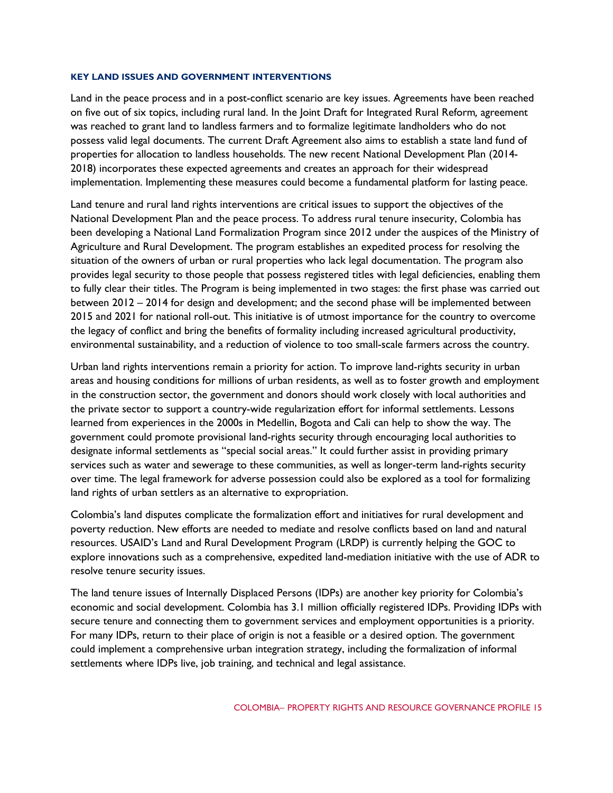#### **KEY LAND ISSUES AND GOVERNMENT INTERVENTIONS**

Land in the peace process and in a post-conflict scenario are key issues. Agreements have been reached on five out of six topics, including rural land. In the Joint Draft for Integrated Rural Reform*,* agreement was reached to grant land to landless farmers and to formalize legitimate landholders who do not possess valid legal documents. The current Draft Agreement also aims to establish a state land fund of properties for allocation to landless households. The new recent National Development Plan (2014- 2018) incorporates these expected agreements and creates an approach for their widespread implementation. Implementing these measures could become a fundamental platform for lasting peace.

Land tenure and rural land rights interventions are critical issues to support the objectives of the National Development Plan and the peace process. To address rural tenure insecurity, Colombia has been developing a National Land Formalization Program since 2012 under the auspices of the Ministry of Agriculture and Rural Development. The program establishes an expedited process for resolving the situation of the owners of urban or rural properties who lack legal documentation. The program also provides legal security to those people that possess registered titles with legal deficiencies, enabling them to fully clear their titles. The Program is being implemented in two stages: the first phase was carried out between 2012 – 2014 for design and development; and the second phase will be implemented between 2015 and 2021 for national roll-out. This initiative is of utmost importance for the country to overcome the legacy of conflict and bring the benefits of formality including increased agricultural productivity, environmental sustainability, and a reduction of violence to too small-scale farmers across the country.

Urban land rights interventions remain a priority for action. To improve land-rights security in urban areas and housing conditions for millions of urban residents, as well as to foster growth and employment in the construction sector, the government and donors should work closely with local authorities and the private sector to support a country-wide regularization effort for informal settlements. Lessons learned from experiences in the 2000s in Medellin, Bogota and Cali can help to show the way. The government could promote provisional land-rights security through encouraging local authorities to designate informal settlements as "special social areas." It could further assist in providing primary services such as water and sewerage to these communities, as well as longer-term land-rights security over time. The legal framework for adverse possession could also be explored as a tool for formalizing land rights of urban settlers as an alternative to expropriation.

Colombia's land disputes complicate the formalization effort and initiatives for rural development and poverty reduction. New efforts are needed to mediate and resolve conflicts based on land and natural resources. USAID's Land and Rural Development Program (LRDP) is currently helping the GOC to explore innovations such as a comprehensive, expedited land-mediation initiative with the use of ADR to resolve tenure security issues.

The land tenure issues of Internally Displaced Persons (IDPs) are another key priority for Colombia's economic and social development. Colombia has 3.1 million officially registered IDPs. Providing IDPs with secure tenure and connecting them to government services and employment opportunities is a priority. For many IDPs, return to their place of origin is not a feasible or a desired option. The government could implement a comprehensive urban integration strategy, including the formalization of informal settlements where IDPs live, job training, and technical and legal assistance.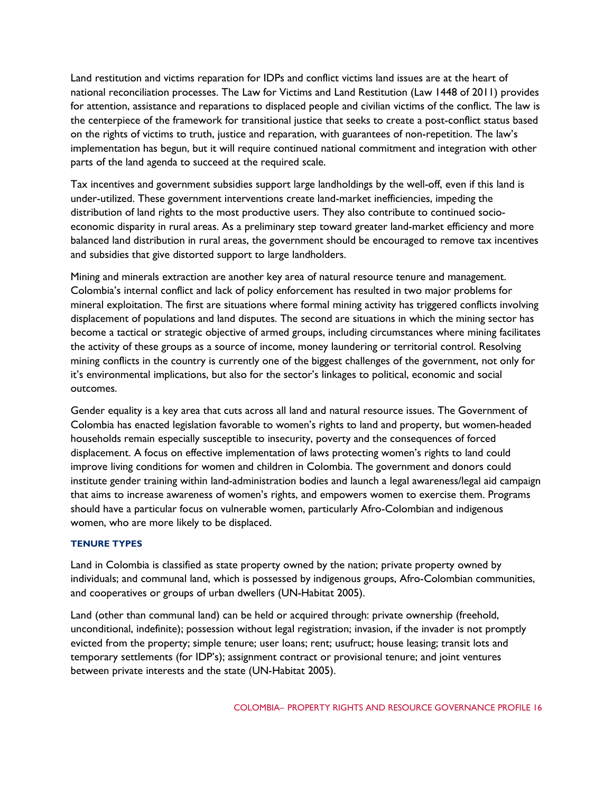Land restitution and victims reparation for IDPs and conflict victims land issues are at the heart of national reconciliation processes. The Law for Victims and Land Restitution (Law 1448 of 2011) provides for attention, assistance and reparations to displaced people and civilian victims of the conflict. The law is the centerpiece of the framework for transitional justice that seeks to create a post-conflict status based on the rights of victims to truth, justice and reparation, with guarantees of non-repetition. The law's implementation has begun, but it will require continued national commitment and integration with other parts of the land agenda to succeed at the required scale.

Tax incentives and government subsidies support large landholdings by the well-off, even if this land is under-utilized. These government interventions create land-market inefficiencies, impeding the distribution of land rights to the most productive users. They also contribute to continued socioeconomic disparity in rural areas. As a preliminary step toward greater land-market efficiency and more balanced land distribution in rural areas, the government should be encouraged to remove tax incentives and subsidies that give distorted support to large landholders.

Mining and minerals extraction are another key area of natural resource tenure and management. Colombia's internal conflict and lack of policy enforcement has resulted in two major problems for mineral exploitation. The first are situations where formal mining activity has triggered conflicts involving displacement of populations and land disputes. The second are situations in which the mining sector has become a tactical or strategic objective of armed groups, including circumstances where mining facilitates the activity of these groups as a source of income, money laundering or territorial control. Resolving mining conflicts in the country is currently one of the biggest challenges of the government, not only for it's environmental implications, but also for the sector's linkages to political, economic and social outcomes.

Gender equality is a key area that cuts across all land and natural resource issues. The Government of Colombia has enacted legislation favorable to women's rights to land and property, but women-headed households remain especially susceptible to insecurity, poverty and the consequences of forced displacement. A focus on effective implementation of laws protecting women's rights to land could improve living conditions for women and children in Colombia. The government and donors could institute gender training within land-administration bodies and launch a legal awareness/legal aid campaign that aims to increase awareness of women's rights, and empowers women to exercise them. Programs should have a particular focus on vulnerable women, particularly Afro-Colombian and indigenous women, who are more likely to be displaced.

# **TENURE TYPES**

Land in Colombia is classified as state property owned by the nation; private property owned by individuals; and communal land, which is possessed by indigenous groups, Afro-Colombian communities, and cooperatives or groups of urban dwellers (UN-Habitat 2005).

Land (other than communal land) can be held or acquired through: private ownership (freehold, unconditional, indefinite); possession without legal registration; invasion, if the invader is not promptly evicted from the property; simple tenure; user loans; rent; usufruct; house leasing; transit lots and temporary settlements (for IDP's); assignment contract or provisional tenure; and joint ventures between private interests and the state (UN-Habitat 2005).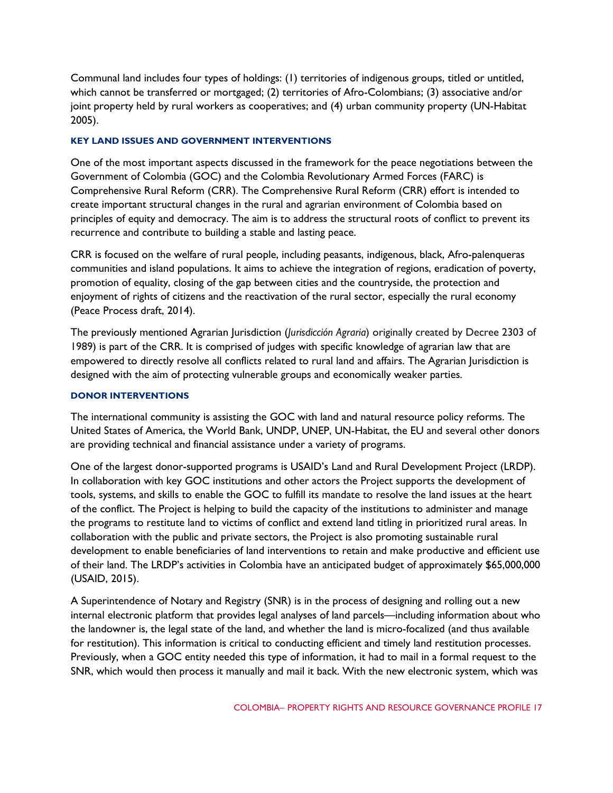Communal land includes four types of holdings: (1) territories of indigenous groups, titled or untitled, which cannot be transferred or mortgaged; (2) territories of Afro-Colombians; (3) associative and/or joint property held by rural workers as cooperatives; and (4) urban community property (UN-Habitat 2005).

# **KEY LAND ISSUES AND GOVERNMENT INTERVENTIONS**

One of the most important aspects discussed in the framework for the peace negotiations between the Government of Colombia (GOC) and the Colombia Revolutionary Armed Forces (FARC) is Comprehensive Rural Reform (CRR). The Comprehensive Rural Reform (CRR) effort is intended to create important structural changes in the rural and agrarian environment of Colombia based on principles of equity and democracy. The aim is to address the structural roots of conflict to prevent its recurrence and contribute to building a stable and lasting peace.

CRR is focused on the welfare of rural people, including peasants, indigenous, black, Afro-palenqueras communities and island populations. It aims to achieve the integration of regions, eradication of poverty, promotion of equality, closing of the gap between cities and the countryside, the protection and enjoyment of rights of citizens and the reactivation of the rural sector, especially the rural economy (Peace Process draft, 2014).

The previously mentioned Agrarian Jurisdiction (*Jurisdicción Agraria*) originally created by Decree 2303 of 1989) is part of the CRR. It is comprised of judges with specific knowledge of agrarian law that are empowered to directly resolve all conflicts related to rural land and affairs. The Agrarian Jurisdiction is designed with the aim of protecting vulnerable groups and economically weaker parties.

## **DONOR INTERVENTIONS**

The international community is assisting the GOC with land and natural resource policy reforms. The United States of America, the World Bank, UNDP, UNEP, UN-Habitat, the EU and several other donors are providing technical and financial assistance under a variety of programs.

One of the largest donor-supported programs is USAID's Land and Rural Development Project (LRDP). In collaboration with key GOC institutions and other actors the Project supports the development of tools, systems, and skills to enable the GOC to fulfill its mandate to resolve the land issues at the heart of the conflict. The Project is helping to build the capacity of the institutions to administer and manage the programs to restitute land to victims of conflict and extend land titling in prioritized rural areas. In collaboration with the public and private sectors, the Project is also promoting sustainable rural development to enable beneficiaries of land interventions to retain and make productive and efficient use of their land. The LRDP's activities in Colombia have an anticipated budget of approximately \$65,000,000 (USAID, 2015).

A Superintendence of Notary and Registry (SNR) is in the process of designing and rolling out a new internal electronic platform that provides legal analyses of land parcels—including information about who the landowner is, the legal state of the land, and whether the land is micro-focalized (and thus available for restitution). This information is critical to conducting efficient and timely land restitution processes. Previously, when a GOC entity needed this type of information, it had to mail in a formal request to the SNR, which would then process it manually and mail it back. With the new electronic system, which was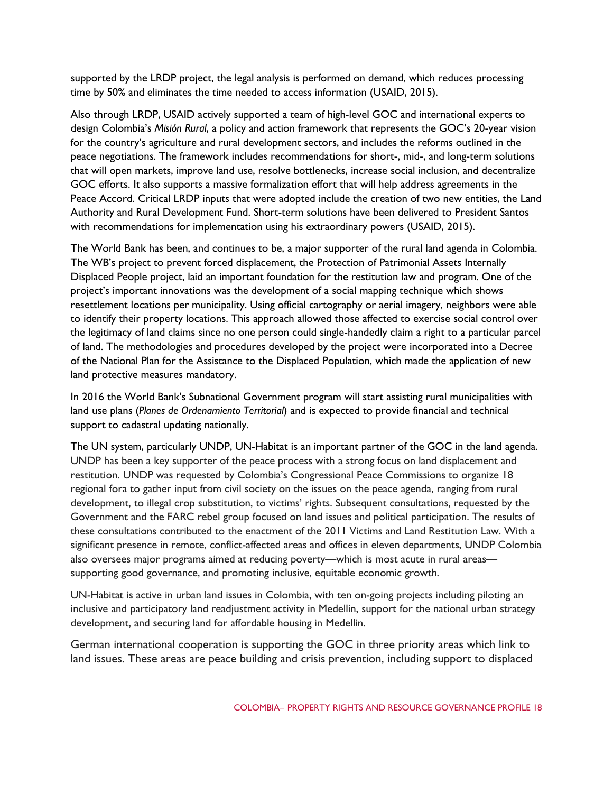supported by the LRDP project, the legal analysis is performed on demand, which reduces processing time by 50% and eliminates the time needed to access information (USAID, 2015).

Also through LRDP, USAID actively supported a team of high-level GOC and international experts to design Colombia's *Misión Rural*, a policy and action framework that represents the GOC's 20-year vision for the country's agriculture and rural development sectors, and includes the reforms outlined in the peace negotiations. The framework includes recommendations for short-, mid-, and long-term solutions that will open markets, improve land use, resolve bottlenecks, increase social inclusion, and decentralize GOC efforts. It also supports a massive formalization effort that will help address agreements in the Peace Accord. Critical LRDP inputs that were adopted include the creation of two new entities, the Land Authority and Rural Development Fund. Short-term solutions have been delivered to President Santos with recommendations for implementation using his extraordinary powers (USAID, 2015).

The World Bank has been, and continues to be, a major supporter of the rural land agenda in Colombia. The WB's project to prevent forced displacement, the Protection of Patrimonial Assets Internally Displaced People project, laid an important foundation for the restitution law and program. One of the project's important innovations was the development of a social mapping technique which shows resettlement locations per municipality. Using official cartography or aerial imagery, neighbors were able to identify their property locations. This approach allowed those affected to exercise social control over the legitimacy of land claims since no one person could single-handedly claim a right to a particular parcel of land. The methodologies and procedures developed by the project were incorporated into a Decree of the National Plan for the Assistance to the Displaced Population, which made the application of new land protective measures mandatory.

In 2016 the World Bank's Subnational Government program will start assisting rural municipalities with land use plans (*Planes de Ordenamiento Territorial*) and is expected to provide financial and technical support to cadastral updating nationally.

The UN system, particularly UNDP, UN-Habitat is an important partner of the GOC in the land agenda. UNDP has been a key supporter of the peace process with a strong focus on land displacement and restitution. UNDP was requested by Colombia's Congressional Peace Commissions to organize 18 regional fora to gather input from civil society on the issues on the peace agenda, ranging from rural development, to illegal crop substitution, to victims' rights. Subsequent consultations, requested by the Government and the FARC rebel group focused on land issues and political participation. The results of these consultations contributed to the enactment of the 2011 Victims and Land Restitution Law. With a significant presence in remote, conflict-affected areas and offices in eleven departments, UNDP Colombia also oversees major programs aimed at reducing poverty—which is most acute in rural areas supporting good governance, and promoting inclusive, equitable economic growth.

UN-Habitat is active in urban land issues in Colombia, with ten on-going projects including piloting an inclusive and participatory land readjustment activity in Medellin, support for the national urban strategy development, and securing land for affordable housing in Medellin.

German international cooperation is supporting the GOC in three priority areas which link to land issues. These areas are peace building and crisis prevention, including support to displaced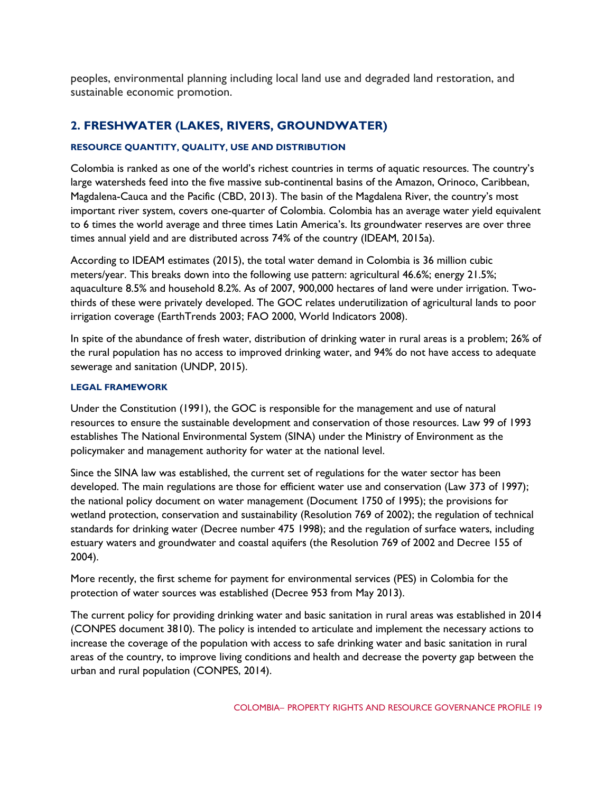peoples, environmental planning including local land use and degraded land restoration, and sustainable economic promotion.

# **2. FRESHWATER (LAKES, RIVERS, GROUNDWATER)**

# **RESOURCE QUANTITY, QUALITY, USE AND DISTRIBUTION**

Colombia is ranked as one of the world's richest countries in terms of aquatic resources. The country's large watersheds feed into the five massive sub-continental basins of the Amazon, Orinoco, Caribbean, Magdalena-Cauca and the Pacific (CBD, 2013). The basin of the Magdalena River, the country's most important river system, covers one-quarter of Colombia. Colombia has an average water yield equivalent to 6 times the world average and three times Latin America's. Its groundwater reserves are over three times annual yield and are distributed across 74% of the country (IDEAM, 2015a).

According to IDEAM estimates (2015), the total water demand in Colombia is 36 million cubic meters/year. This breaks down into the following use pattern: agricultural 46.6%; energy 21.5%; aquaculture 8.5% and household 8.2%. As of 2007, 900,000 hectares of land were under irrigation. Twothirds of these were privately developed. The GOC relates underutilization of agricultural lands to poor irrigation coverage (EarthTrends 2003; FAO 2000, World Indicators 2008).

In spite of the abundance of fresh water, distribution of drinking water in rural areas is a problem; 26% of the rural population has no access to improved drinking water, and 94% do not have access to adequate sewerage and sanitation (UNDP, 2015).

## **LEGAL FRAMEWORK**

Under the Constitution (1991), the GOC is responsible for the management and use of natural resources to ensure the sustainable development and conservation of those resources. Law 99 of 1993 establishes The National Environmental System (SINA) under the Ministry of Environment as the policymaker and management authority for water at the national level.

Since the SINA law was established, the current set of regulations for the water sector has been developed. The main regulations are those for efficient water use and conservation (Law 373 of 1997); the national policy document on water management (Document 1750 of 1995); the provisions for wetland protection, conservation and sustainability (Resolution 769 of 2002); the regulation of technical standards for drinking water (Decree number 475 1998); and the regulation of surface waters, including estuary waters and groundwater and coastal aquifers (the Resolution 769 of 2002 and Decree 155 of 2004).

More recently, the first scheme for payment for environmental services (PES) in Colombia for the protection of water sources was established (Decree 953 from May 2013).

The current policy for providing drinking water and basic sanitation in rural areas was established in 2014 (CONPES document 3810). The policy is intended to articulate and implement the necessary actions to increase the coverage of the population with access to safe drinking water and basic sanitation in rural areas of the country, to improve living conditions and health and decrease the poverty gap between the urban and rural population (CONPES, 2014).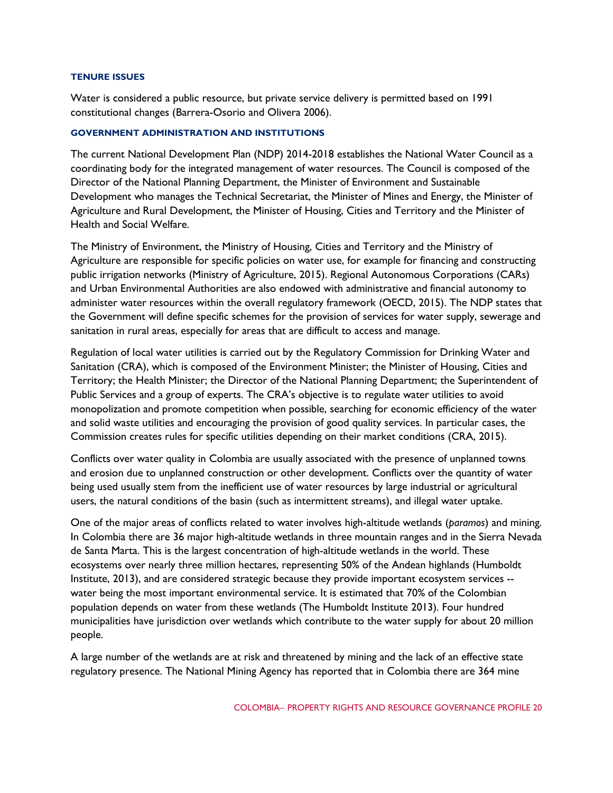#### **TENURE ISSUES**

Water is considered a public resource, but private service delivery is permitted based on 1991 constitutional changes (Barrera-Osorio and Olivera 2006).

#### **GOVERNMENT ADMINISTRATION AND INSTITUTIONS**

The current National Development Plan (NDP) 2014-2018 establishes the National Water Council as a coordinating body for the integrated management of water resources. The Council is composed of the Director of the National Planning Department, the Minister of Environment and Sustainable Development who manages the Technical Secretariat, the Minister of Mines and Energy, the Minister of Agriculture and Rural Development, the Minister of Housing, Cities and Territory and the Minister of Health and Social Welfare.

The Ministry of Environment, the Ministry of Housing, Cities and Territory and the Ministry of Agriculture are responsible for specific policies on water use, for example for financing and constructing public irrigation networks (Ministry of Agriculture, 2015). Regional Autonomous Corporations (CARs) and Urban Environmental Authorities are also endowed with administrative and financial autonomy to administer water resources within the overall regulatory framework (OECD, 2015). The NDP states that the Government will define specific schemes for the provision of services for water supply, sewerage and sanitation in rural areas, especially for areas that are difficult to access and manage.

Regulation of local water utilities is carried out by the Regulatory Commission for Drinking Water and Sanitation (CRA), which is composed of the Environment Minister; the Minister of Housing, Cities and Territory; the Health Minister; the Director of the National Planning Department; the Superintendent of Public Services and a group of experts. The CRA's objective is to regulate water utilities to avoid monopolization and promote competition when possible, searching for economic efficiency of the water and solid waste utilities and encouraging the provision of good quality services. In particular cases, the Commission creates rules for specific utilities depending on their market conditions (CRA, 2015).

Conflicts over water quality in Colombia are usually associated with the presence of unplanned towns and erosion due to unplanned construction or other development. Conflicts over the quantity of water being used usually stem from the inefficient use of water resources by large industrial or agricultural users, the natural conditions of the basin (such as intermittent streams), and illegal water uptake.

One of the major areas of conflicts related to water involves high-altitude wetlands (*paramos*) and mining. In Colombia there are 36 major high-altitude wetlands in three mountain ranges and in the Sierra Nevada de Santa Marta. This is the largest concentration of high-altitude wetlands in the world. These ecosystems over nearly three million hectares, representing 50% of the Andean highlands (Humboldt Institute, 2013), and are considered strategic because they provide important ecosystem services - water being the most important environmental service. It is estimated that 70% of the Colombian population depends on water from these wetlands (The Humboldt Institute 2013). Four hundred municipalities have jurisdiction over wetlands which contribute to the water supply for about 20 million people.

A large number of the wetlands are at risk and threatened by mining and the lack of an effective state regulatory presence. The National Mining Agency has reported that in Colombia there are 364 mine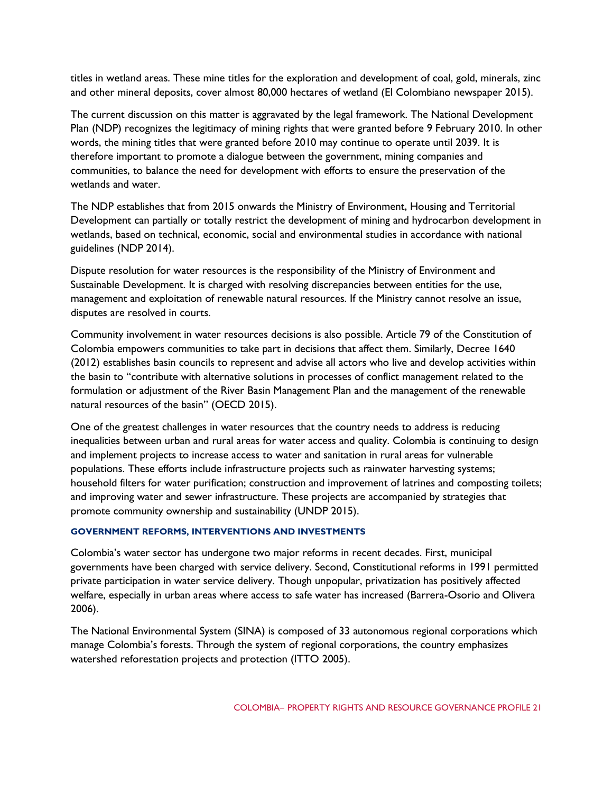titles in wetland areas. These mine titles for the exploration and development of coal, gold, minerals, zinc and other mineral deposits, cover almost 80,000 hectares of wetland (El Colombiano newspaper 2015).

The current discussion on this matter is aggravated by the legal framework. The National Development Plan (NDP) recognizes the legitimacy of mining rights that were granted before 9 February 2010. In other words, the mining titles that were granted before 2010 may continue to operate until 2039. It is therefore important to promote a dialogue between the government, mining companies and communities, to balance the need for development with efforts to ensure the preservation of the wetlands and water.

The NDP establishes that from 2015 onwards the Ministry of Environment, Housing and Territorial Development can partially or totally restrict the development of mining and hydrocarbon development in wetlands, based on technical, economic, social and environmental studies in accordance with national guidelines (NDP 2014).

Dispute resolution for water resources is the responsibility of the Ministry of Environment and Sustainable Development. It is charged with resolving discrepancies between entities for the use, management and exploitation of renewable natural resources. If the Ministry cannot resolve an issue, disputes are resolved in courts.

Community involvement in water resources decisions is also possible. Article 79 of the Constitution of Colombia empowers communities to take part in decisions that affect them. Similarly, Decree 1640 (2012) establishes basin councils to represent and advise all actors who live and develop activities within the basin to "contribute with alternative solutions in processes of conflict management related to the formulation or adjustment of the River Basin Management Plan and the management of the renewable natural resources of the basin" (OECD 2015).

One of the greatest challenges in water resources that the country needs to address is reducing inequalities between urban and rural areas for water access and quality. Colombia is continuing to design and implement projects to increase access to water and sanitation in rural areas for vulnerable populations. These efforts include infrastructure projects such as rainwater harvesting systems; household filters for water purification; construction and improvement of latrines and composting toilets; and improving water and sewer infrastructure. These projects are accompanied by strategies that promote community ownership and sustainability (UNDP 2015).

# **GOVERNMENT REFORMS, INTERVENTIONS AND INVESTMENTS**

Colombia's water sector has undergone two major reforms in recent decades. First, municipal governments have been charged with service delivery. Second, Constitutional reforms in 1991 permitted private participation in water service delivery. Though unpopular, privatization has positively affected welfare, especially in urban areas where access to safe water has increased (Barrera-Osorio and Olivera 2006).

The National Environmental System (SINA) is composed of 33 autonomous regional corporations which manage Colombia's forests. Through the system of regional corporations, the country emphasizes watershed reforestation projects and protection (ITTO 2005).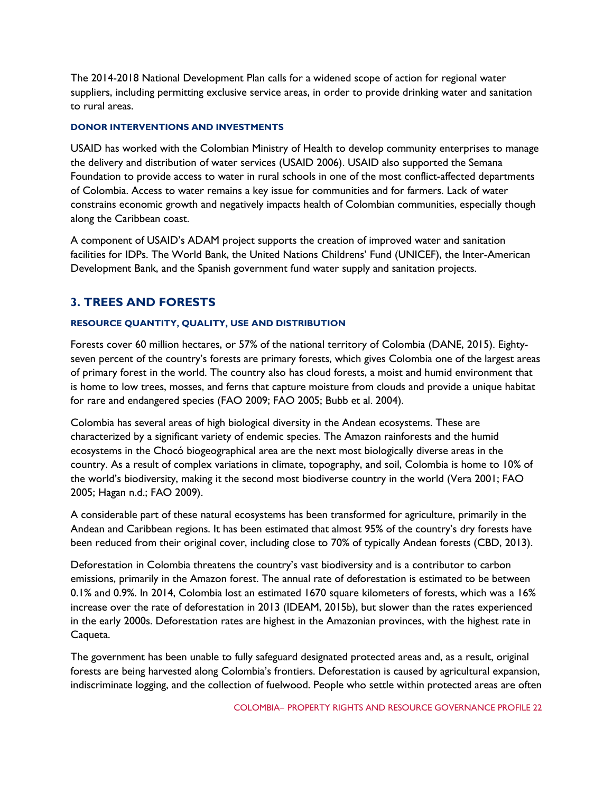The 2014-2018 National Development Plan calls for a widened scope of action for regional water suppliers, including permitting exclusive service areas, in order to provide drinking water and sanitation to rural areas.

# **DONOR INTERVENTIONS AND INVESTMENTS**

USAID has worked with the Colombian Ministry of Health to develop community enterprises to manage the delivery and distribution of water services (USAID 2006). USAID also supported the Semana Foundation to provide access to water in rural schools in one of the most conflict-affected departments of Colombia. Access to water remains a key issue for communities and for farmers. Lack of water constrains economic growth and negatively impacts health of Colombian communities, especially though along the Caribbean coast.

A component of USAID's ADAM project supports the creation of improved water and sanitation facilities for IDPs. The World Bank, the United Nations Childrens' Fund (UNICEF), the Inter-American Development Bank, and the Spanish government fund water supply and sanitation projects.

# **3. TREES AND FORESTS**

# **RESOURCE QUANTITY, QUALITY, USE AND DISTRIBUTION**

Forests cover 60 million hectares, or 57% of the national territory of Colombia (DANE, 2015). Eightyseven percent of the country's forests are primary forests, which gives Colombia one of the largest areas of primary forest in the world. The country also has cloud forests, a moist and humid environment that is home to low trees, mosses, and ferns that capture moisture from clouds and provide a unique habitat for rare and endangered species (FAO 2009; FAO 2005; Bubb et al. 2004).

Colombia has several areas of high biological diversity in the Andean ecosystems. These are characterized by a significant variety of endemic species. The Amazon rainforests and the humid ecosystems in the Chocó biogeographical area are the next most biologically diverse areas in the country. As a result of complex variations in climate, topography, and soil, Colombia is home to 10% of the world's biodiversity, making it the second most biodiverse country in the world (Vera 2001; FAO 2005; Hagan n.d.; FAO 2009).

A considerable part of these natural ecosystems has been transformed for agriculture, primarily in the Andean and Caribbean regions. It has been estimated that almost 95% of the country's dry forests have been reduced from their original cover, including close to 70% of typically Andean forests (CBD, 2013).

Deforestation in Colombia threatens the country's vast biodiversity and is a contributor to carbon emissions, primarily in the Amazon forest. The annual rate of deforestation is estimated to be between 0.1% and 0.9%. In 2014, Colombia lost an estimated 1670 square kilometers of forests, which was a 16% increase over the rate of deforestation in 2013 (IDEAM, 2015b), but slower than the rates experienced in the early 2000s. Deforestation rates are highest in the Amazonian provinces, with the highest rate in Caqueta.

The government has been unable to fully safeguard designated protected areas and, as a result, original forests are being harvested along Colombia's frontiers. Deforestation is caused by agricultural expansion, indiscriminate logging, and the collection of fuelwood. People who settle within protected areas are often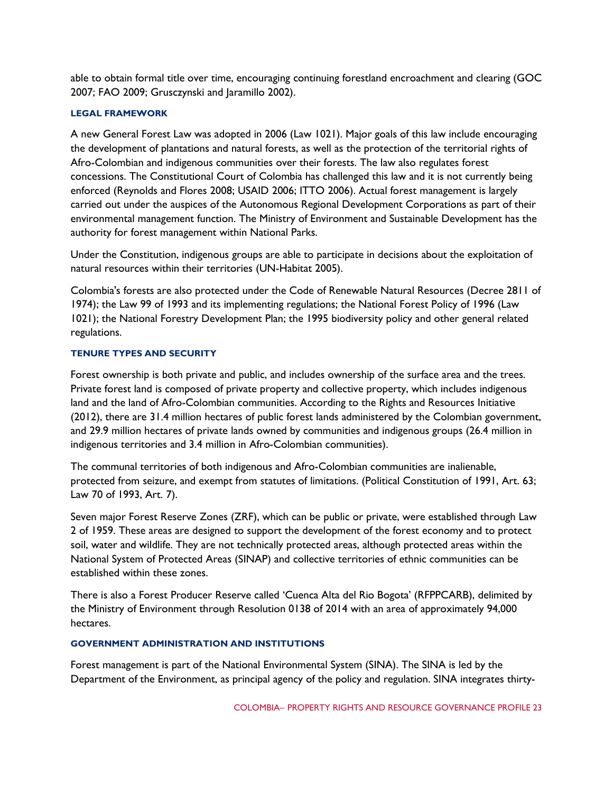able to obtain formal title over time, encouraging continuing forestland encroachment and clearing (GOC 2007; FAO 2009; Grusczynski and Jaramillo 2002).

# **LEGAL FRAMEWORK**

A new General Forest Law was adopted in 2006 (Law 1021). Major goals of this law include encouraging the development of plantations and natural forests, as well as the protection of the territorial rights of Afro-Colombian and indigenous communities over their forests. The law also regulates forest concessions. The Constitutional Court of Colombia has challenged this law and it is not currently being enforced (Reynolds and Flores 2008; USAID 2006; ITTO 2006). Actual forest management is largely carried out under the auspices of the Autonomous Regional Development Corporations as part of their environmental management function. The Ministry of Environment and Sustainable Development has the authority for forest management within National Parks.

Under the Constitution, indigenous groups are able to participate in decisions about the exploitation of natural resources within their territories (UN-Habitat 2005).

Colombia's forests are also protected under the Code of Renewable Natural Resources (Decree 2811 of 1974); the Law 99 of 1993 and its implementing regulations; the National Forest Policy of 1996 (Law 1021); the National Forestry Development Plan; the 1995 biodiversity policy and other general related regulations.

## **TENURE TYPES AND SECURITY**

Forest ownership is both private and public, and includes ownership of the surface area and the trees. Private forest land is composed of private property and collective property, which includes indigenous land and the land of Afro-Colombian communities. According to the Rights and Resources Initiative (2012), there are 31.4 million hectares of public forest lands administered by the Colombian government, and 29.9 million hectares of private lands owned by communities and indigenous groups (26.4 million in indigenous territories and 3.4 million in Afro-Colombian communities).

The communal territories of both indigenous and Afro-Colombian communities are inalienable, protected from seizure, and exempt from statutes of limitations. (Political Constitution of 1991, Art. 63; Law 70 of 1993, Art. 7).

Seven major Forest Reserve Zones (ZRF), which can be public or private, were established through Law 2 of 1959. These areas are designed to support the development of the forest economy and to protect soil, water and wildlife. They are not technically protected areas, although protected areas within the National System of Protected Areas (SINAP) and collective territories of ethnic communities can be established within these zones.

There is also a Forest Producer Reserve called 'Cuenca Alta del Rio Bogota' (RFPPCARB), delimited by the Ministry of Environment through Resolution 0138 of 2014 with an area of approximately 94,000 hectares.

# **GOVERNMENT ADMINISTRATION AND INSTITUTIONS**

Forest management is part of the National Environmental System (SINA). The SINA is led by the Department of the Environment, as principal agency of the policy and regulation. SINA integrates thirty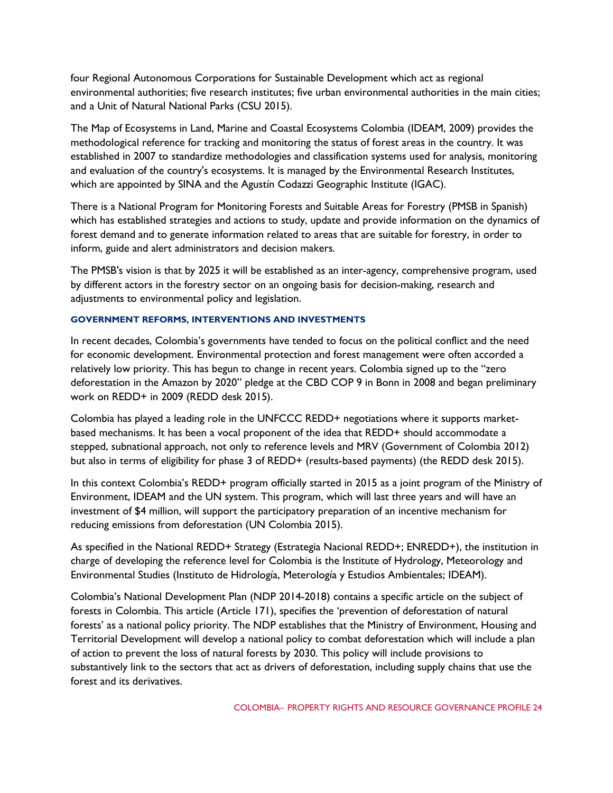four Regional Autonomous Corporations for Sustainable Development which act as regional environmental authorities; five research institutes; five urban environmental authorities in the main cities; and a Unit of Natural National Parks (CSU 2015).

The Map of Ecosystems in Land, Marine and Coastal Ecosystems Colombia (IDEAM, 2009) provides the methodological reference for tracking and monitoring the status of forest areas in the country. It was established in 2007 to standardize methodologies and classification systems used for analysis, monitoring and evaluation of the country's ecosystems. It is managed by the Environmental Research Institutes, which are appointed by SINA and the Agustín Codazzi Geographic Institute (IGAC).

There is a National Program for Monitoring Forests and Suitable Areas for Forestry (PMSB in Spanish) which has established strategies and actions to study, update and provide information on the dynamics of forest demand and to generate information related to areas that are suitable for forestry, in order to inform, guide and alert administrators and decision makers.

The PMSB's vision is that by 2025 it will be established as an inter-agency, comprehensive program, used by different actors in the forestry sector on an ongoing basis for decision-making, research and adjustments to environmental policy and legislation.

## **GOVERNMENT REFORMS, INTERVENTIONS AND INVESTMENTS**

In recent decades, Colombia's governments have tended to focus on the political conflict and the need for economic development. Environmental protection and forest management were often accorded a relatively low priority. This has begun to change in recent years. Colombia signed up to the "zero deforestation in the Amazon by 2020" pledge at the CBD COP 9 in Bonn in 2008 and began preliminary work on REDD+ in 2009 (REDD desk 2015).

Colombia has played a leading role in the UNFCCC REDD+ negotiations where it supports marketbased mechanisms. It has been a vocal proponent of the idea that REDD+ should accommodate a stepped, subnational approach, not only to reference levels and MRV (Government of Colombia 2012) but also in terms of eligibility for phase 3 of REDD+ (results-based payments) (the REDD desk 2015).

In this context Colombia's REDD+ program officially started in 2015 as a joint program of the Ministry of Environment, IDEAM and the UN system. This program, which will last three years and will have an investment of \$4 million, will support the participatory preparation of an incentive mechanism for reducing emissions from deforestation (UN Colombia 2015).

As specified in the National REDD+ Strategy (Estrategia Nacional REDD+; ENREDD+), the institution in charge of developing the reference level for Colombia is the Institute of Hydrology, Meteorology and Environmental Studies (Instituto de Hidrología, Meterología y Estudios Ambientales; IDEAM).

Colombia's National Development Plan (NDP 2014-2018) contains a specific article on the subject of forests in Colombia. This article (Article 171), specifies the 'prevention of deforestation of natural forests' as a national policy priority. The NDP establishes that the Ministry of Environment, Housing and Territorial Development will develop a national policy to combat deforestation which will include a plan of action to prevent the loss of natural forests by 2030. This policy will include provisions to substantively link to the sectors that act as drivers of deforestation, including supply chains that use the forest and its derivatives.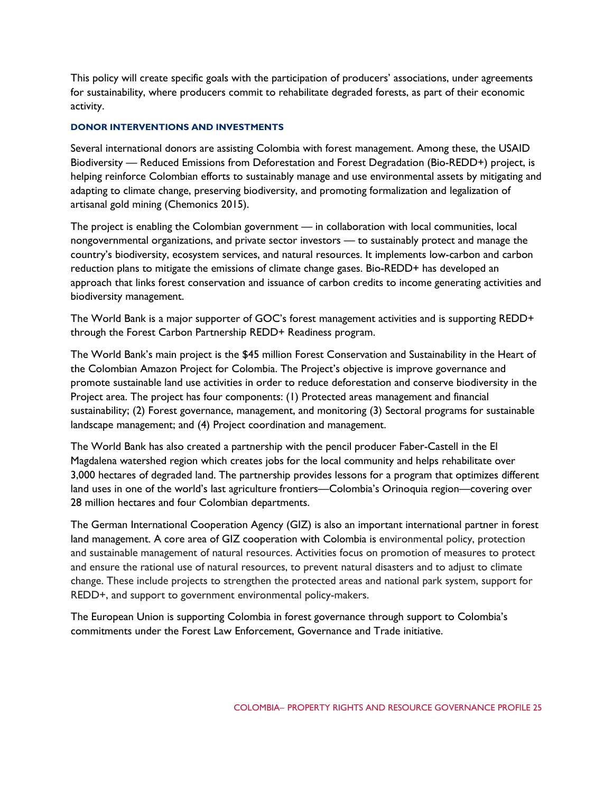This policy will create specific goals with the participation of producers' associations, under agreements for sustainability, where producers commit to rehabilitate degraded forests, as part of their economic activity.

# **DONOR INTERVENTIONS AND INVESTMENTS**

Several international donors are assisting Colombia with forest management. Among these, the USAID Biodiversity — Reduced Emissions from Deforestation and Forest Degradation (Bio-REDD+) project, is helping reinforce Colombian efforts to sustainably manage and use environmental assets by mitigating and adapting to climate change, preserving biodiversity, and promoting formalization and legalization of artisanal gold mining (Chemonics 2015).

The project is enabling the Colombian government — in collaboration with local communities, local nongovernmental organizations, and private sector investors — to sustainably protect and manage the country's biodiversity, ecosystem services, and natural resources. It implements low-carbon and carbon reduction plans to mitigate the emissions of climate change gases. Bio-REDD+ has developed an approach that links forest conservation and issuance of carbon credits to income generating activities and biodiversity management.

The World Bank is a major supporter of GOC's forest management activities and is supporting REDD+ through the Forest Carbon Partnership REDD+ Readiness program.

The World Bank's main project is the \$45 million Forest Conservation and Sustainability in the Heart of the Colombian Amazon Project for Colombia. The Project's objective is improve governance and promote sustainable land use activities in order to reduce deforestation and conserve biodiversity in the Project area. The project has four components: (1) Protected areas management and financial sustainability; (2) Forest governance, management, and monitoring (3) Sectoral programs for sustainable landscape management; and (4) Project coordination and management.

The World Bank has also created a partnership with the pencil producer Faber-Castell in the El Magdalena watershed region which creates jobs for the local community and helps rehabilitate over 3,000 hectares of degraded land. The partnership provides lessons for a program that optimizes different land uses in one of the world's last agriculture frontiers—Colombia's Orinoquia region—covering over 28 million hectares and four Colombian departments.

The German International Cooperation Agency (GIZ) is also an important international partner in forest land management. A core area of GIZ cooperation with Colombia is environmental policy, protection and sustainable management of natural resources. Activities focus on promotion of measures to protect and ensure the rational use of natural resources, to prevent natural disasters and to adjust to climate change. These include projects to strengthen the protected areas and national park system, support for REDD+, and support to government environmental policy-makers.

The European Union is supporting Colombia in forest governance through support to Colombia's commitments under the Forest Law Enforcement, Governance and Trade initiative.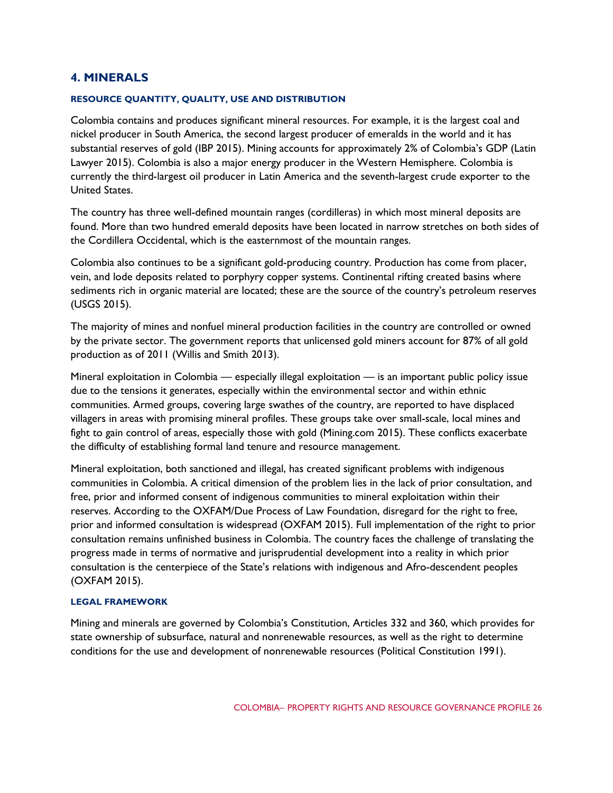# **4. MINERALS**

#### **RESOURCE QUANTITY, QUALITY, USE AND DISTRIBUTION**

Colombia contains and produces significant mineral resources. For example, it is the largest coal and nickel producer in South America, the second largest producer of emeralds in the world and it has substantial reserves of gold (IBP 2015). Mining accounts for approximately 2% of Colombia's GDP (Latin Lawyer 2015). Colombia is also a major energy producer in the Western Hemisphere. Colombia is currently the third-largest oil producer in Latin America and the seventh-largest crude exporter to the United States.

The country has three well-defined mountain ranges (cordilleras) in which most mineral deposits are found. More than two hundred emerald deposits have been located in narrow stretches on both sides of the Cordillera Occidental, which is the easternmost of the mountain ranges.

Colombia also continues to be a significant gold-producing country. Production has come from placer, vein, and lode deposits related to porphyry copper systems. Continental rifting created basins where sediments rich in organic material are located; these are the source of the country's petroleum reserves (USGS 2015).

The majority of mines and nonfuel mineral production facilities in the country are controlled or owned by the private sector. The government reports that unlicensed gold miners account for 87% of all gold production as of 2011 (Willis and Smith 2013).

Mineral exploitation in Colombia — especially illegal exploitation — is an important public policy issue due to the tensions it generates, especially within the environmental sector and within ethnic communities. Armed groups, covering large swathes of the country, are reported to have displaced villagers in areas with promising mineral profiles. These groups take over small-scale, local mines and fight to gain control of areas, especially those with gold (Mining.com 2015). These conflicts exacerbate the difficulty of establishing formal land tenure and resource management.

Mineral exploitation, both sanctioned and illegal, has created significant problems with indigenous communities in Colombia. A critical dimension of the problem lies in the lack of prior consultation, and free, prior and informed consent of indigenous communities to mineral exploitation within their reserves. According to the OXFAM/Due Process of Law Foundation, disregard for the right to free, prior and informed consultation is widespread (OXFAM 2015). Full implementation of the right to prior consultation remains unfinished business in Colombia. The country faces the challenge of translating the progress made in terms of normative and jurisprudential development into a reality in which prior consultation is the centerpiece of the State's relations with indigenous and Afro-descendent peoples (OXFAM 2015).

#### **LEGAL FRAMEWORK**

Mining and minerals are governed by Colombia's Constitution, Articles 332 and 360, which provides for state ownership of subsurface, natural and nonrenewable resources, as well as the right to determine conditions for the use and development of nonrenewable resources (Political Constitution 1991).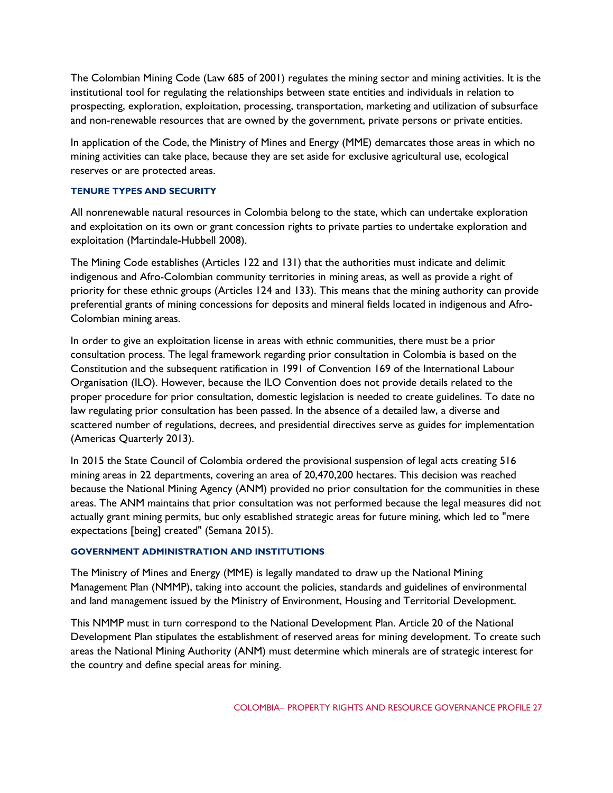The Colombian Mining Code (Law 685 of 2001) regulates the mining sector and mining activities. It is the institutional tool for regulating the relationships between state entities and individuals in relation to prospecting, exploration, exploitation, processing, transportation, marketing and utilization of subsurface and non-renewable resources that are owned by the government, private persons or private entities.

In application of the Code, the Ministry of Mines and Energy (MME) demarcates those areas in which no mining activities can take place, because they are set aside for exclusive agricultural use, ecological reserves or are protected areas.

## **TENURE TYPES AND SECURITY**

All nonrenewable natural resources in Colombia belong to the state, which can undertake exploration and exploitation on its own or grant concession rights to private parties to undertake exploration and exploitation (Martindale-Hubbell 2008).

The Mining Code establishes (Articles 122 and 131) that the authorities must indicate and delimit indigenous and Afro-Colombian community territories in mining areas, as well as provide a right of priority for these ethnic groups (Articles 124 and 133). This means that the mining authority can provide preferential grants of mining concessions for deposits and mineral fields located in indigenous and Afro-Colombian mining areas.

In order to give an exploitation license in areas with ethnic communities, there must be a prior consultation process. The legal framework regarding prior consultation in Colombia is based on the Constitution and the subsequent ratification in 1991 of Convention 169 of the International Labour Organisation (ILO). However, because the ILO Convention does not provide details related to the proper procedure for prior consultation, domestic legislation is needed to create guidelines. To date no law regulating prior consultation has been passed. In the absence of a detailed law, a diverse and scattered number of regulations, decrees, and presidential directives serve as guides for implementation (Americas Quarterly 2013).

In 2015 the State Council of Colombia ordered the provisional suspension of legal acts creating 516 mining areas in 22 departments, covering an area of 20,470,200 hectares. This decision was reached because the National Mining Agency (ANM) provided no prior consultation for the communities in these areas. The ANM maintains that prior consultation was not performed because the legal measures did not actually grant mining permits, but only established strategic areas for future mining, which led to "mere expectations [being] created" (Semana 2015).

# **GOVERNMENT ADMINISTRATION AND INSTITUTIONS**

The Ministry of Mines and Energy (MME) is legally mandated to draw up the National Mining Management Plan (NMMP), taking into account the policies, standards and guidelines of environmental and land management issued by the Ministry of Environment, Housing and Territorial Development.

This NMMP must in turn correspond to the National Development Plan. Article 20 of the National Development Plan stipulates the establishment of reserved areas for mining development. To create such areas the National Mining Authority (ANM) must determine which minerals are of strategic interest for the country and define special areas for mining.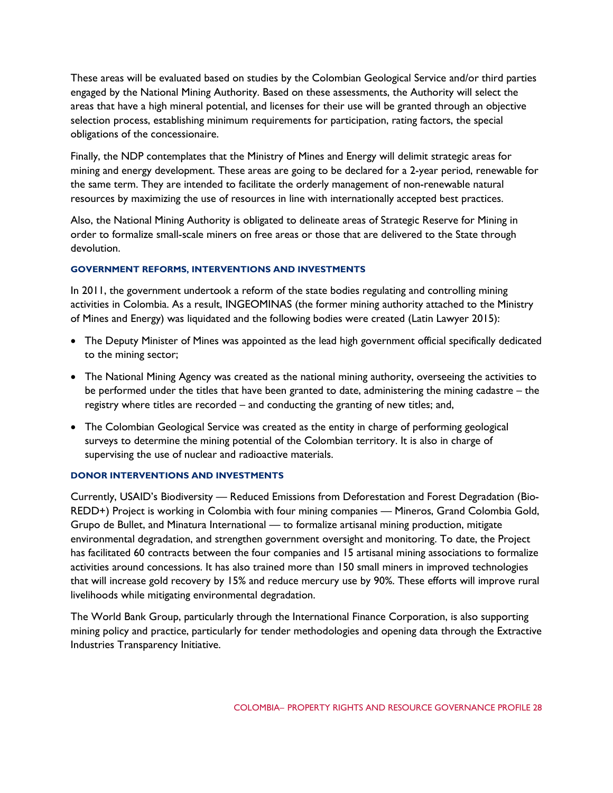These areas will be evaluated based on studies by the Colombian Geological Service and/or third parties engaged by the National Mining Authority. Based on these assessments, the Authority will select the areas that have a high mineral potential, and licenses for their use will be granted through an objective selection process, establishing minimum requirements for participation, rating factors, the special obligations of the concessionaire.

Finally, the NDP contemplates that the Ministry of Mines and Energy will delimit strategic areas for mining and energy development. These areas are going to be declared for a 2-year period, renewable for the same term. They are intended to facilitate the orderly management of non-renewable natural resources by maximizing the use of resources in line with internationally accepted best practices.

Also, the National Mining Authority is obligated to delineate areas of Strategic Reserve for Mining in order to formalize small-scale miners on free areas or those that are delivered to the State through devolution.

## **GOVERNMENT REFORMS, INTERVENTIONS AND INVESTMENTS**

In 2011, the government undertook a reform of the state bodies regulating and controlling mining activities in Colombia. As a result, INGEOMINAS (the former mining authority attached to the Ministry of Mines and Energy) was liquidated and the following bodies were created (Latin Lawyer 2015):

- The Deputy Minister of Mines was appointed as the lead high government official specifically dedicated to the mining sector;
- The National Mining Agency was created as the national mining authority, overseeing the activities to be performed under the titles that have been granted to date, administering the mining cadastre – the registry where titles are recorded – and conducting the granting of new titles; and,
- The Colombian Geological Service was created as the entity in charge of performing geological surveys to determine the mining potential of the Colombian territory. It is also in charge of supervising the use of nuclear and radioactive materials.

# **DONOR INTERVENTIONS AND INVESTMENTS**

Currently, USAID's Biodiversity — Reduced Emissions from Deforestation and Forest Degradation (Bio-REDD+) Project is working in Colombia with four mining companies — Mineros, Grand Colombia Gold, Grupo de Bullet, and Minatura International — to formalize artisanal mining production, mitigate environmental degradation, and strengthen government oversight and monitoring. To date, the Project has facilitated 60 contracts between the four companies and 15 artisanal mining associations to formalize activities around concessions. It has also trained more than 150 small miners in improved technologies that will increase gold recovery by 15% and reduce mercury use by 90%. These efforts will improve rural livelihoods while mitigating environmental degradation.

The World Bank Group, particularly through the International Finance Corporation, is also supporting mining policy and practice, particularly for tender methodologies and opening data through the Extractive Industries Transparency Initiative.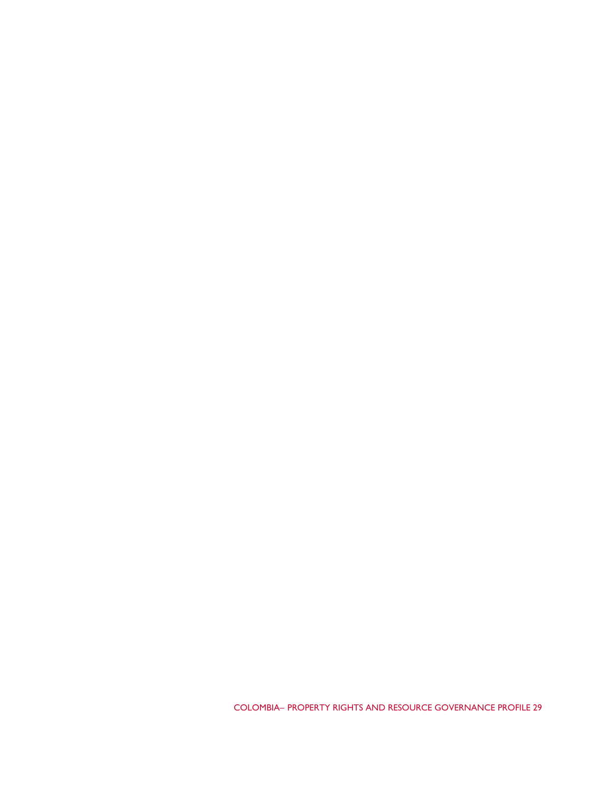COLOMBIA– PROPERTY RIGHTS AND RESOURCE GOVERNANCE PROFILE 29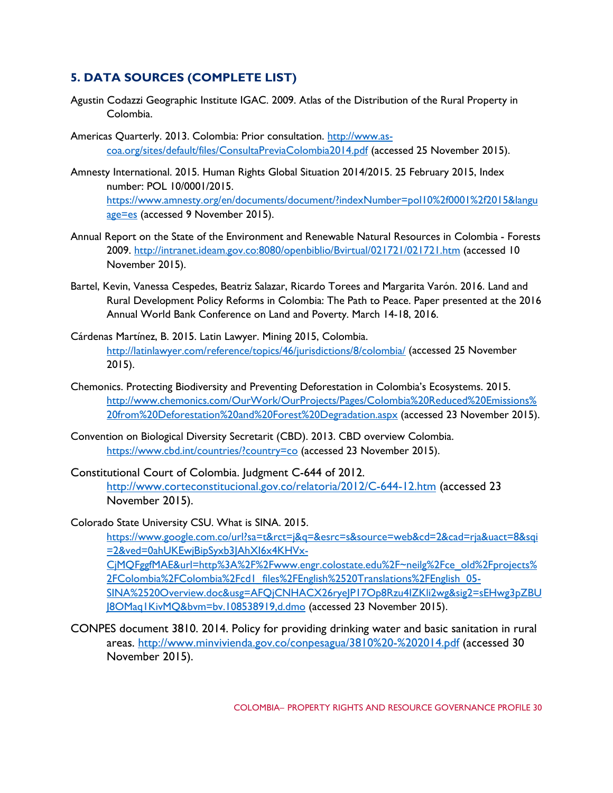# **5. DATA SOURCES (COMPLETE LIST)**

- Agustin Codazzi Geographic Institute IGAC. 2009. Atlas of the Distribution of the Rural Property in Colombia.
- Americas Quarterly. 2013. Colombia: Prior consultation. [http://www.as](http://www.as-coa.org/sites/default/files/ConsultaPreviaColombia2014.pdf)[coa.org/sites/default/files/ConsultaPreviaColombia2014.pdf](http://www.as-coa.org/sites/default/files/ConsultaPreviaColombia2014.pdf) (accessed 25 November 2015).
- Amnesty International. 2015. Human Rights Global Situation 2014/2015. 25 February 2015, Index number: POL 10/0001/2015. [https://www.amnesty.org/en/documents/document/?indexNumber=pol10%2f0001%2f2015&langu](https://www.amnesty.org/en/documents/document/?indexNumber=pol10%2f0001%2f2015&language=es) [age=es](https://www.amnesty.org/en/documents/document/?indexNumber=pol10%2f0001%2f2015&language=es) (accessed 9 November 2015).
- Annual Report on the State of the Environment and Renewable Natural Resources in Colombia Forests 2009.<http://intranet.ideam.gov.co:8080/openbiblio/Bvirtual/021721/021721.htm> (accessed 10 November 2015).
- Bartel, Kevin, Vanessa Cespedes, Beatriz Salazar, Ricardo Torees and Margarita Varón. 2016. Land and Rural Development Policy Reforms in Colombia: The Path to Peace. Paper presented at the 2016 Annual World Bank Conference on Land and Poverty. March 14-18, 2016.
- Cárdenas Martínez, B. 2015. Latin Lawyer. Mining 2015, Colombia. <http://latinlawyer.com/reference/topics/46/jurisdictions/8/colombia/> (accessed 25 November 2015).
- Chemonics. Protecting Biodiversity and Preventing Deforestation in Colombia's Ecosystems. 2015. [http://www.chemonics.com/OurWork/OurProjects/Pages/Colombia%20Reduced%20Emissions%](http://www.chemonics.com/OurWork/OurProjects/Pages/Colombia%20Reduced%20Emissions%20from%20Deforestation%20and%20Forest%20Degradation.aspx) [20from%20Deforestation%20and%20Forest%20Degradation.aspx](http://www.chemonics.com/OurWork/OurProjects/Pages/Colombia%20Reduced%20Emissions%20from%20Deforestation%20and%20Forest%20Degradation.aspx) (accessed 23 November 2015).
- Convention on Biological Diversity Secretarit (CBD). 2013. CBD overview Colombia. <https://www.cbd.int/countries/?country=co> (accessed 23 November 2015).
- Constitutional Court of Colombia. Judgment C-644 of 2012. <http://www.corteconstitucional.gov.co/relatoria/2012/C-644-12.htm> (accessed 23 November 2015).
- Colorado State University CSU. What is SINA. 2015.

[https://www.google.com.co/url?sa=t&rct=j&q=&esrc=s&source=web&cd=2&cad=rja&uact=8&sqi](https://www.google.com.co/url?sa=t&rct=j&q=&esrc=s&source=web&cd=2&cad=rja&uact=8&sqi=2&ved=0ahUKEwjBipSyxb3JAhXI6x4KHVx-CjMQFggfMAE&url=http%3A%2F%2Fwww.engr.colostate.edu%2F%7Eneilg%2Fce_old%2Fprojects%2FColombia%2FColombia%2Fcd1_files%2FEnglish%2520Translations%2FEnglish_05-SINA%2520Overview.doc&usg=AFQjCNHACX26ryeJP17Op8Rzu4IZKli2wg&sig2=sEHwg3pZBUJ8OMaq1KivMQ&bvm=bv.108538919,d.dmo) [=2&ved=0ahUKEwjBipSyxb3JAhXI6x4KHVx-](https://www.google.com.co/url?sa=t&rct=j&q=&esrc=s&source=web&cd=2&cad=rja&uact=8&sqi=2&ved=0ahUKEwjBipSyxb3JAhXI6x4KHVx-CjMQFggfMAE&url=http%3A%2F%2Fwww.engr.colostate.edu%2F%7Eneilg%2Fce_old%2Fprojects%2FColombia%2FColombia%2Fcd1_files%2FEnglish%2520Translations%2FEnglish_05-SINA%2520Overview.doc&usg=AFQjCNHACX26ryeJP17Op8Rzu4IZKli2wg&sig2=sEHwg3pZBUJ8OMaq1KivMQ&bvm=bv.108538919,d.dmo)[CjMQFggfMAE&url=http%3A%2F%2Fwww.engr.colostate.edu%2F~neilg%2Fce\\_old%2Fprojects%](https://www.google.com.co/url?sa=t&rct=j&q=&esrc=s&source=web&cd=2&cad=rja&uact=8&sqi=2&ved=0ahUKEwjBipSyxb3JAhXI6x4KHVx-CjMQFggfMAE&url=http%3A%2F%2Fwww.engr.colostate.edu%2F%7Eneilg%2Fce_old%2Fprojects%2FColombia%2FColombia%2Fcd1_files%2FEnglish%2520Translations%2FEnglish_05-SINA%2520Overview.doc&usg=AFQjCNHACX26ryeJP17Op8Rzu4IZKli2wg&sig2=sEHwg3pZBUJ8OMaq1KivMQ&bvm=bv.108538919,d.dmo) [2FColombia%2FColombia%2Fcd1\\_files%2FEnglish%2520Translations%2FEnglish\\_05-](https://www.google.com.co/url?sa=t&rct=j&q=&esrc=s&source=web&cd=2&cad=rja&uact=8&sqi=2&ved=0ahUKEwjBipSyxb3JAhXI6x4KHVx-CjMQFggfMAE&url=http%3A%2F%2Fwww.engr.colostate.edu%2F%7Eneilg%2Fce_old%2Fprojects%2FColombia%2FColombia%2Fcd1_files%2FEnglish%2520Translations%2FEnglish_05-SINA%2520Overview.doc&usg=AFQjCNHACX26ryeJP17Op8Rzu4IZKli2wg&sig2=sEHwg3pZBUJ8OMaq1KivMQ&bvm=bv.108538919,d.dmo) [SINA%2520Overview.doc&usg=AFQjCNHACX26ryeJP17Op8Rzu4IZKli2wg&sig2=sEHwg3pZBU](https://www.google.com.co/url?sa=t&rct=j&q=&esrc=s&source=web&cd=2&cad=rja&uact=8&sqi=2&ved=0ahUKEwjBipSyxb3JAhXI6x4KHVx-CjMQFggfMAE&url=http%3A%2F%2Fwww.engr.colostate.edu%2F%7Eneilg%2Fce_old%2Fprojects%2FColombia%2FColombia%2Fcd1_files%2FEnglish%2520Translations%2FEnglish_05-SINA%2520Overview.doc&usg=AFQjCNHACX26ryeJP17Op8Rzu4IZKli2wg&sig2=sEHwg3pZBUJ8OMaq1KivMQ&bvm=bv.108538919,d.dmo) [J8OMaq1KivMQ&bvm=bv.108538919,d.dmo](https://www.google.com.co/url?sa=t&rct=j&q=&esrc=s&source=web&cd=2&cad=rja&uact=8&sqi=2&ved=0ahUKEwjBipSyxb3JAhXI6x4KHVx-CjMQFggfMAE&url=http%3A%2F%2Fwww.engr.colostate.edu%2F%7Eneilg%2Fce_old%2Fprojects%2FColombia%2FColombia%2Fcd1_files%2FEnglish%2520Translations%2FEnglish_05-SINA%2520Overview.doc&usg=AFQjCNHACX26ryeJP17Op8Rzu4IZKli2wg&sig2=sEHwg3pZBUJ8OMaq1KivMQ&bvm=bv.108538919,d.dmo) (accessed 23 November 2015).

CONPES document 3810. 2014. Policy for providing drinking water and basic sanitation in rural areas.<http://www.minvivienda.gov.co/conpesagua/3810%20-%202014.pdf> (accessed 30 November 2015).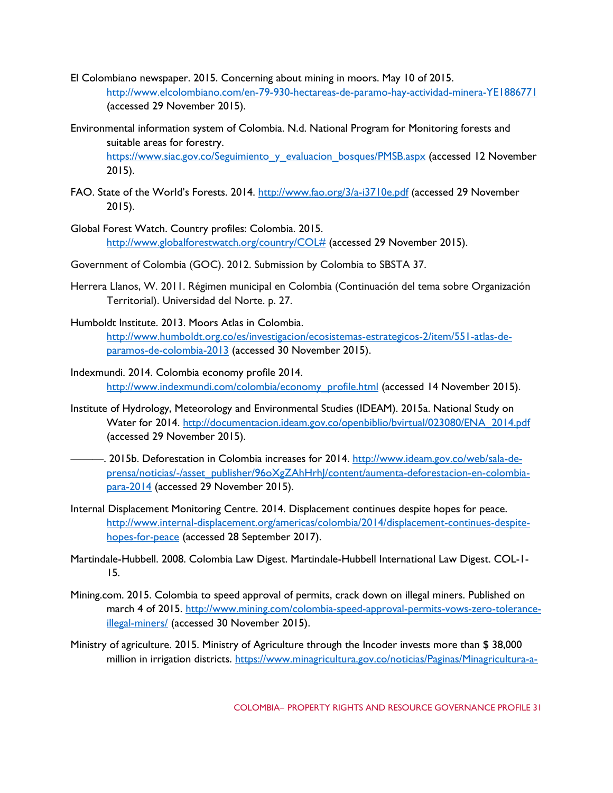- El Colombiano newspaper. 2015. Concerning about mining in moors. May 10 of 2015. <http://www.elcolombiano.com/en-79-930-hectareas-de-paramo-hay-actividad-minera-YE1886771> (accessed 29 November 2015).
- Environmental information system of Colombia. N.d. National Program for Monitoring forests and suitable areas for forestry.

[https://www.siac.gov.co/Seguimiento\\_y\\_evaluacion\\_bosques/PMSB.aspx](https://www.siac.gov.co/Seguimiento_y_evaluacion_bosques/PMSB.aspx) (accessed 12 November 2015).

- FAO. State of the World's Forests. 2014. <http://www.fao.org/3/a-i3710e.pdf> (accessed 29 November 2015).
- Global Forest Watch. Country profiles: Colombia. 2015. [http://www.globalforestwatch.org/country/COL#](http://www.globalforestwatch.org/country/COL) (accessed 29 November 2015).
- Government of Colombia (GOC). 2012. Submission by Colombia to SBSTA 37.
- Herrera Llanos, W. 2011. Régimen municipal en Colombia (Continuación del tema sobre Organización Territorial). Universidad del Norte. p. 27.
- Humboldt Institute. 2013. Moors Atlas in Colombia. [http://www.humboldt.org.co/es/investigacion/ecosistemas-estrategicos-2/item/551-atlas-de](http://www.humboldt.org.co/es/investigacion/ecosistemas-estrategicos-2/item/551-atlas-de-paramos-de-colombia-2013)[paramos-de-colombia-2013](http://www.humboldt.org.co/es/investigacion/ecosistemas-estrategicos-2/item/551-atlas-de-paramos-de-colombia-2013) (accessed 30 November 2015).
- Indexmundi. 2014. Colombia economy profile 2014. [http://www.indexmundi.com/colombia/economy\\_profile.html](http://www.indexmundi.com/colombia/economy_profile.html) (accessed 14 November 2015).
- Institute of Hydrology, Meteorology and Environmental Studies (IDEAM). 2015a. National Study on Water for 2014. [http://documentacion.ideam.gov.co/openbiblio/bvirtual/023080/ENA\\_2014.pdf](http://documentacion.ideam.gov.co/openbiblio/bvirtual/023080/ENA_2014.pdf) (accessed 29 November 2015).
- ———. 2015b. Deforestation in Colombia increases for 2014. [http://www.ideam.gov.co/web/sala-de](http://www.ideam.gov.co/web/sala-de-prensa/noticias/-/asset_publisher/96oXgZAhHrhJ/content/aumenta-deforestacion-en-colombia-para-2014)[prensa/noticias/-/asset\\_publisher/96oXgZAhHrhJ/content/aumenta-deforestacion-en-colombia](http://www.ideam.gov.co/web/sala-de-prensa/noticias/-/asset_publisher/96oXgZAhHrhJ/content/aumenta-deforestacion-en-colombia-para-2014)[para-2014](http://www.ideam.gov.co/web/sala-de-prensa/noticias/-/asset_publisher/96oXgZAhHrhJ/content/aumenta-deforestacion-en-colombia-para-2014) (accessed 29 November 2015).
- Internal Displacement Monitoring Centre. 2014. Displacement continues despite hopes for peace. [http://www.internal-displacement.org/americas/colombia/2014/displacement-continues-despite](http://www.internal-displacement.org/americas/colombia/2014/displacement-continues-despite-hopes-for-peace)[hopes-for-peace](http://www.internal-displacement.org/americas/colombia/2014/displacement-continues-despite-hopes-for-peace) (accessed 28 September 2017).
- Martindale-Hubbell. 2008. Colombia Law Digest. Martindale-Hubbell International Law Digest. COL-1- 15.
- Mining.com. 2015. Colombia to speed approval of permits, crack down on illegal miners. Published on march 4 of 2015. [http://www.mining.com/colombia-speed-approval-permits-vows-zero-tolerance](http://www.mining.com/colombia-speed-approval-permits-vows-zero-tolerance-illegal-miners/)[illegal-miners/](http://www.mining.com/colombia-speed-approval-permits-vows-zero-tolerance-illegal-miners/) (accessed 30 November 2015).
- Ministry of agriculture. 2015. Ministry of Agriculture through the Incoder invests more than \$ 38,000 million in irrigation districts. [https://www.minagricultura.gov.co/noticias/Paginas/Minagricultura-a-](https://www.minagricultura.gov.co/noticias/Paginas/Minagricultura-a-trav%C3%A9s-del-INCODER-invierte-m%C3%A1s-de-$38-000-millones-en-distritos-de-riego-.aspx)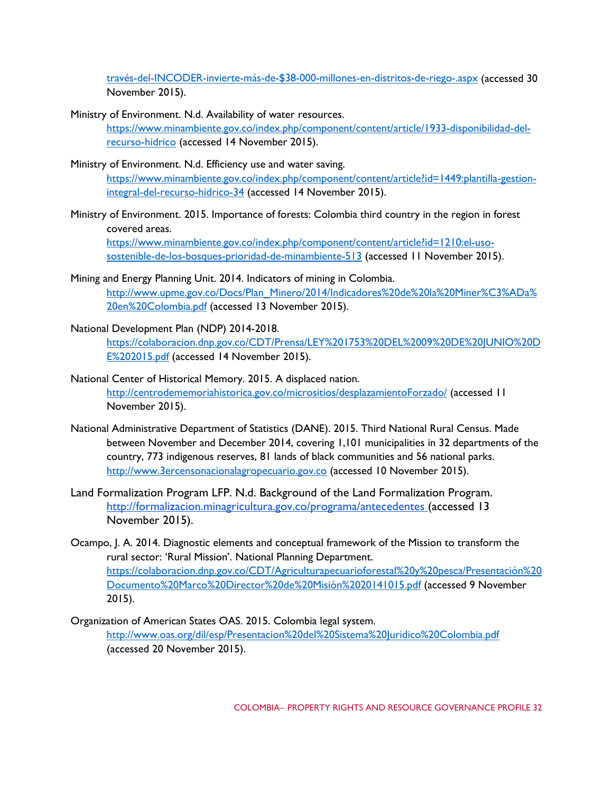[través-del-INCODER-invierte-más-de-\\$38-000-millones-en-distritos-de-riego-.aspx](https://www.minagricultura.gov.co/noticias/Paginas/Minagricultura-a-trav%C3%A9s-del-INCODER-invierte-m%C3%A1s-de-$38-000-millones-en-distritos-de-riego-.aspx) (accessed 30 November 2015).

Ministry of Environment. N.d. Availability of water resources.

[https://www.minambiente.gov.co/index.php/component/content/article/1933-disponibilidad-del](https://www.minambiente.gov.co/index.php/component/content/article/1933-disponibilidad-del-recurso-hidrico)[recurso-hidrico](https://www.minambiente.gov.co/index.php/component/content/article/1933-disponibilidad-del-recurso-hidrico) (accessed 14 November 2015).

- Ministry of Environment. N.d. Efficiency use and water saving. [https://www.minambiente.gov.co/index.php/component/content/article?id=1449:plantilla-gestion](https://www.minambiente.gov.co/index.php/component/content/article?id=1449:plantilla-gestion-integral-del-recurso-hidrico-34)[integral-del-recurso-hidrico-34](https://www.minambiente.gov.co/index.php/component/content/article?id=1449:plantilla-gestion-integral-del-recurso-hidrico-34) (accessed 14 November 2015).
- Ministry of Environment. 2015. Importance of forests: Colombia third country in the region in forest covered areas.

[https://www.minambiente.gov.co/index.php/component/content/article?id=1210:el-uso](https://www.minambiente.gov.co/index.php/component/content/article?id=1210:el-uso-sostenible-de-los-bosques-prioridad-de-minambiente-513)[sostenible-de-los-bosques-prioridad-de-minambiente-513](https://www.minambiente.gov.co/index.php/component/content/article?id=1210:el-uso-sostenible-de-los-bosques-prioridad-de-minambiente-513) (accessed 11 November 2015).

- Mining and Energy Planning Unit. 2014. Indicators of mining in Colombia. [http://www.upme.gov.co/Docs/Plan\\_Minero/2014/Indicadores%20de%20la%20Miner%C3%ADa%](http://www.upme.gov.co/Docs/Plan_Minero/2014/Indicadores%20de%20la%20Miner%C3%ADa%20en%20Colombia.pdf) [20en%20Colombia.pdf](http://www.upme.gov.co/Docs/Plan_Minero/2014/Indicadores%20de%20la%20Miner%C3%ADa%20en%20Colombia.pdf) (accessed 13 November 2015).
- National Development Plan (NDP) 2014-2018. [https://colaboracion.dnp.gov.co/CDT/Prensa/LEY%201753%20DEL%2009%20DE%20JUNIO%20D](https://colaboracion.dnp.gov.co/CDT/Prensa/LEY%201753%20DEL%2009%20DE%20JUNIO%20DE%202015.pdf) [E%202015.pdf](https://colaboracion.dnp.gov.co/CDT/Prensa/LEY%201753%20DEL%2009%20DE%20JUNIO%20DE%202015.pdf) (accessed 14 November 2015).
- National Center of Historical Memory. 2015. A displaced nation. <http://centrodememoriahistorica.gov.co/micrositios/desplazamientoForzado/> (accessed 11 November 2015).
- National Administrative Department of Statistics (DANE). 2015. Third National Rural Census. Made between November and December 2014, covering 1,101 municipalities in 32 departments of the country, 773 indigenous reserves, 81 lands of black communities and 56 national parks. [http://www.3ercensonacionalagropecuario.gov.co](http://www.3ercensonacionalagropecuario.gov.co/) (accessed 10 November 2015).
- Land Formalization Program LFP. N.d. Background of the Land Formalization Program. <http://formalizacion.minagricultura.gov.co/programa/antecedentes> (accessed 13 November 2015).
- Ocampo, J. A. 2014. Diagnostic elements and conceptual framework of the Mission to transform the rural sector: 'Rural Mission'. National Planning Department. [https://colaboracion.dnp.gov.co/CDT/Agriculturapecuarioforestal%20y%20pesca/Presentación%20](https://colaboracion.dnp.gov.co/CDT/Agriculturapecuarioforestal%20y%20pesca/Presentaci%C3%B3n%20Documento%20Marco%20Director%20de%20Misi%C3%B3n%2020141015.pdf) [Documento%20Marco%20Director%20de%20Misión%2020141015.pdf](https://colaboracion.dnp.gov.co/CDT/Agriculturapecuarioforestal%20y%20pesca/Presentaci%C3%B3n%20Documento%20Marco%20Director%20de%20Misi%C3%B3n%2020141015.pdf) (accessed 9 November 2015).
- Organization of American States OAS. 2015. Colombia legal system. <http://www.oas.org/dil/esp/Presentacion%20del%20Sistema%20Juridico%20Colombia.pdf> (accessed 20 November 2015).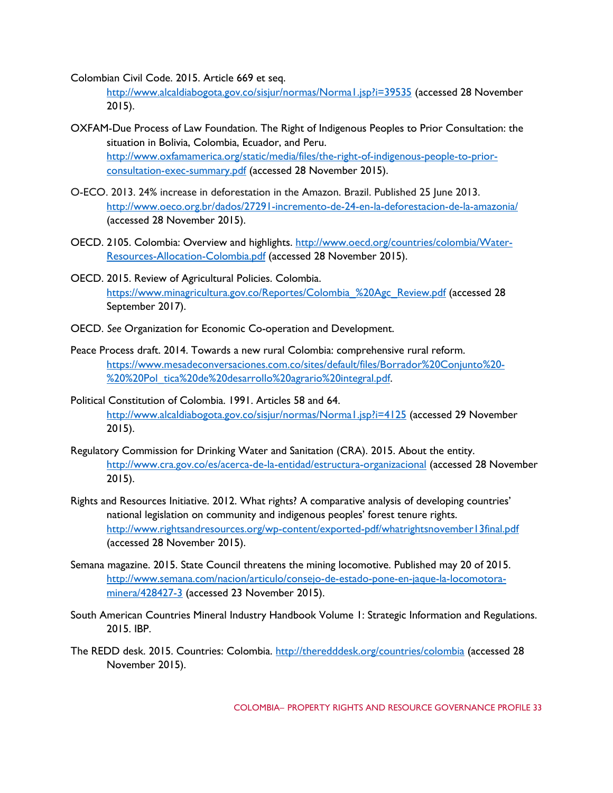Colombian Civil Code. 2015. Article 669 et seq.

<http://www.alcaldiabogota.gov.co/sisjur/normas/Norma1.jsp?i=39535> (accessed 28 November 2015).

- OXFAM-Due Process of Law Foundation. The Right of Indigenous Peoples to Prior Consultation: the situation in Bolivia, Colombia, Ecuador, and Peru. [http://www.oxfamamerica.org/static/media/files/the-right-of-indigenous-people-to-prior](http://www.oxfamamerica.org/static/media/files/the-right-of-indigenous-people-to-prior-consultation-exec-summary.pdf)[consultation-exec-summary.pdf](http://www.oxfamamerica.org/static/media/files/the-right-of-indigenous-people-to-prior-consultation-exec-summary.pdf) (accessed 28 November 2015).
- O-ECO. 2013. 24% increase in deforestation in the Amazon. Brazil. Published 25 June 2013. <http://www.oeco.org.br/dados/27291-incremento-de-24-en-la-deforestacion-de-la-amazonia/> (accessed 28 November 2015).
- OECD. 2105. Colombia: Overview and highlights. [http://www.oecd.org/countries/colombia/Water-](http://www.oecd.org/countries/colombia/Water-Resources-Allocation-Colombia.pdf)[Resources-Allocation-Colombia.pdf](http://www.oecd.org/countries/colombia/Water-Resources-Allocation-Colombia.pdf) (accessed 28 November 2015).
- OECD. 2015. Review of Agricultural Policies. Colombia. [https://www.minagricultura.gov.co/Reportes/Colombia\\_%20Agc\\_Review.pdf](https://www.minagricultura.gov.co/Reportes/Colombia_%20Agc_Review.pdf) (accessed 28 September 2017).
- OECD. *See* Organization for Economic Co-operation and Development.
- Peace Process draft. 2014. Towards a new rural Colombia: comprehensive rural reform. [https://www.mesadeconversaciones.com.co/sites/default/files/Borrador%20Conjunto%20-](https://www.mesadeconversaciones.com.co/sites/default/files/Borrador%20Conjunto%20-%20%20Pol_tica%20de%20desarrollo%20agrario%20integral.pdf) [%20%20Pol\\_tica%20de%20desarrollo%20agrario%20integral.pdf.](https://www.mesadeconversaciones.com.co/sites/default/files/Borrador%20Conjunto%20-%20%20Pol_tica%20de%20desarrollo%20agrario%20integral.pdf)
- Political Constitution of Colombia. 1991. Articles 58 and 64. <http://www.alcaldiabogota.gov.co/sisjur/normas/Norma1.jsp?i=4125> (accessed 29 November 2015).
- Regulatory Commission for Drinking Water and Sanitation (CRA). 2015. About the entity. <http://www.cra.gov.co/es/acerca-de-la-entidad/estructura-organizacional> (accessed 28 November 2015).
- Rights and Resources Initiative. 2012. What rights? A comparative analysis of developing countries' national legislation on community and indigenous peoples' forest tenure rights. http://www.rightsandresources.org/wp-content/exported-pdf/whatrightsnovember | 3final.pdf (accessed 28 November 2015).
- Semana magazine. 2015. State Council threatens the mining locomotive. Published may 20 of 2015. [http://www.semana.com/nacion/articulo/consejo-de-estado-pone-en-jaque-la-locomotora](http://www.semana.com/nacion/articulo/consejo-de-estado-pone-en-jaque-la-locomotora-minera/428427-3)[minera/428427-3](http://www.semana.com/nacion/articulo/consejo-de-estado-pone-en-jaque-la-locomotora-minera/428427-3) (accessed 23 November 2015).
- South American Countries Mineral Industry Handbook Volume 1: Strategic Information and Regulations. 2015. IBP.
- The REDD desk. 2015. Countries: Colombia.<http://theredddesk.org/countries/colombia> (accessed 28 November 2015).